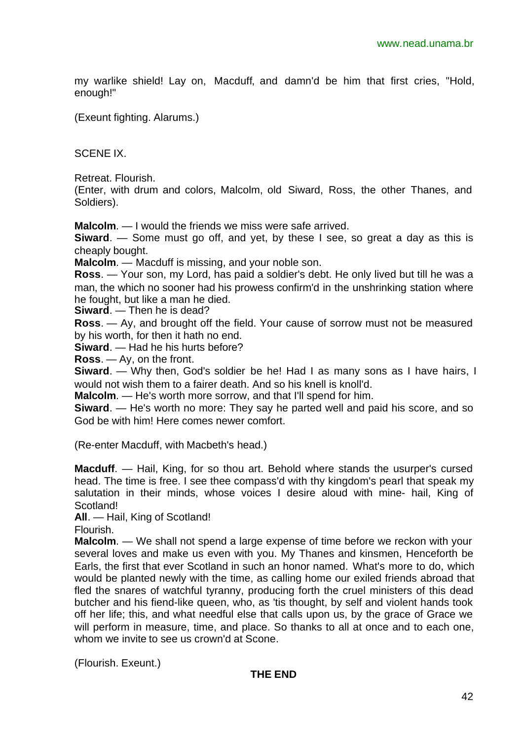my warlike shield! Lay on, Macduff, and damn'd be him that first cries, "Hold, enough!"

(Exeunt fighting. Alarums.)

SCENE IX.

Retreat. Flourish.

(Enter, with drum and colors, Malcolm, old Siward, Ross, the other Thanes, and Soldiers).

**Malcolm**. — I would the friends we miss were safe arrived.

**Siward**. — Some must go off, and yet, by these I see, so great a day as this is cheaply bought.

**Malcolm**. — Macduff is missing, and your noble son.

**Ross**. — Your son, my Lord, has paid a soldier's debt. He only lived but till he was a man, the which no sooner had his prowess confirm'd in the unshrinking station where he fought, but like a man he died.

**Siward**. — Then he is dead?

**Ross**. — Ay, and brought off the field. Your cause of sorrow must not be measured by his worth, for then it hath no end.

**Siward**. — Had he his hurts before?

**Ross**. — Ay, on the front.

**Siward**. — Why then, God's soldier be he! Had I as many sons as I have hairs, I would not wish them to a fairer death. And so his knell is knoll'd.

**Malcolm**. — He's worth more sorrow, and that I'll spend for him.

**Siward**. — He's worth no more: They say he parted well and paid his score, and so God be with him! Here comes newer comfort.

(Re-enter Macduff, with Macbeth's head.)

**Macduff**. — Hail, King, for so thou art. Behold where stands the usurper's cursed head. The time is free. I see thee compass'd with thy kingdom's pearl that speak my salutation in their minds, whose voices I desire aloud with mine- hail, King of Scotland!

**All**. — Hail, King of Scotland!

Flourish.

**Malcolm**. — We shall not spend a large expense of time before we reckon with your several loves and make us even with you. My Thanes and kinsmen, Henceforth be Earls, the first that ever Scotland in such an honor named. What's more to do, which would be planted newly with the time, as calling home our exiled friends abroad that fled the snares of watchful tyranny, producing forth the cruel ministers of this dead butcher and his fiend-like queen, who, as 'tis thought, by self and violent hands took off her life; this, and what needful else that calls upon us, by the grace of Grace we will perform in measure, time, and place. So thanks to all at once and to each one, whom we invite to see us crown'd at Scone.

(Flourish. Exeunt.)

#### **THE END**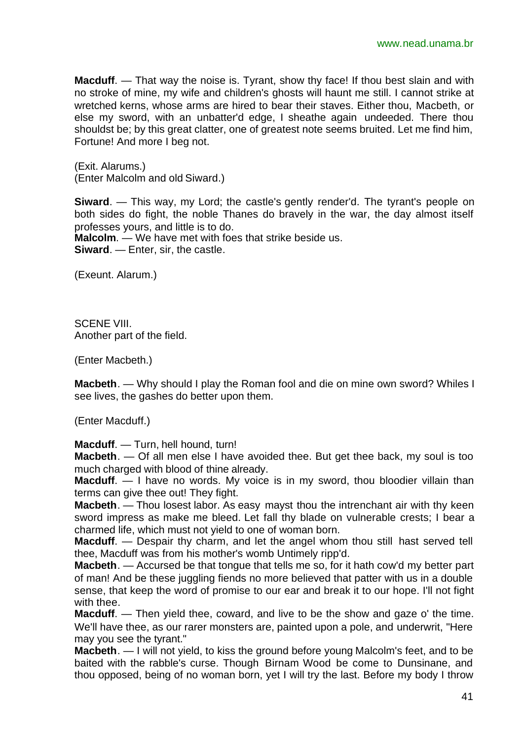**Macduff.** — That way the noise is. Tyrant, show thy face! If thou best slain and with no stroke of mine, my wife and children's ghosts will haunt me still. I cannot strike at wretched kerns, whose arms are hired to bear their staves. Either thou, Macbeth, or else my sword, with an unbatter'd edge, I sheathe again undeeded. There thou shouldst be; by this great clatter, one of greatest note seems bruited. Let me find him, Fortune! And more I beg not.

(Exit. Alarums.) (Enter Malcolm and old Siward.)

**Siward**. — This way, my Lord; the castle's gently render'd. The tyrant's people on both sides do fight, the noble Thanes do bravely in the war, the day almost itself professes yours, and little is to do.

**Malcolm**. — We have met with foes that strike beside us. **Siward**. — Enter, sir, the castle.

(Exeunt. Alarum.)

SCENE VIII Another part of the field.

(Enter Macbeth.)

**Macbeth**. — Why should I play the Roman fool and die on mine own sword? Whiles I see lives, the gashes do better upon them.

(Enter Macduff.)

**Macduff**. — Turn, hell hound, turn!

**Macbeth**. — Of all men else I have avoided thee. But get thee back, my soul is too much charged with blood of thine already.

**Macduff.** — I have no words. My voice is in my sword, thou bloodier villain than terms can give thee out! They fight.

**Macbeth**. — Thou losest labor. As easy mayst thou the intrenchant air with thy keen sword impress as make me bleed. Let fall thy blade on vulnerable crests; I bear a charmed life, which must not yield to one of woman born.

**Macduff**. — Despair thy charm, and let the angel whom thou still hast served tell thee, Macduff was from his mother's womb Untimely ripp'd.

**Macbeth**. — Accursed be that tongue that tells me so, for it hath cow'd my better part of man! And be these juggling fiends no more believed that patter with us in a double sense, that keep the word of promise to our ear and break it to our hope. I'll not fight with thee.

**Macduff**. — Then yield thee, coward, and live to be the show and gaze o' the time. We'll have thee, as our rarer monsters are, painted upon a pole, and underwrit, "Here may you see the tyrant."

**Macbeth**. — I will not yield, to kiss the ground before young Malcolm's feet, and to be baited with the rabble's curse. Though Birnam Wood be come to Dunsinane, and thou opposed, being of no woman born, yet I will try the last. Before my body I throw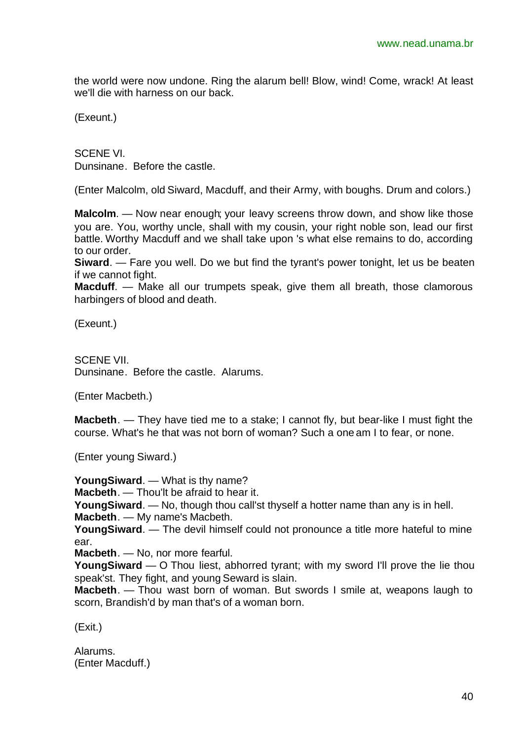the world were now undone. Ring the alarum bell! Blow, wind! Come, wrack! At least we'll die with harness on our back.

(Exeunt.)

SCENE VI. Dunsinane. Before the castle.

(Enter Malcolm, old Siward, Macduff, and their Army, with boughs. Drum and colors.)

**Malcolm**. — Now near enough; your leavy screens throw down, and show like those you are. You, worthy uncle, shall with my cousin, your right noble son, lead our first battle. Worthy Macduff and we shall take upon 's what else remains to do, according to our order.

**Siward**. — Fare you well. Do we but find the tyrant's power tonight, let us be beaten if we cannot fight.

**Macduff.** — Make all our trumpets speak, give them all breath, those clamorous harbingers of blood and death.

(Exeunt.)

SCENE VII. Dunsinane. Before the castle. Alarums.

(Enter Macbeth.)

**Macbeth**. — They have tied me to a stake; I cannot fly, but bear-like I must fight the course. What's he that was not born of woman? Such a one am I to fear, or none.

(Enter young Siward.)

**YoungSiward**. — What is thy name?

**Macbeth**. — Thou'lt be afraid to hear it.

**YoungSiward**. — No, though thou call'st thyself a hotter name than any is in hell.

**Macbeth**. — My name's Macbeth.

**YoungSiward**. — The devil himself could not pronounce a title more hateful to mine ear.

**Macbeth**. — No, nor more fearful.

**YoungSiward** — O Thou liest, abhorred tyrant; with my sword I'll prove the lie thou speak'st. They fight, and young Seward is slain.

**Macbeth**. — Thou wast born of woman. But swords I smile at, weapons laugh to scorn, Brandish'd by man that's of a woman born.

(Exit.)

Alarums. (Enter Macduff.)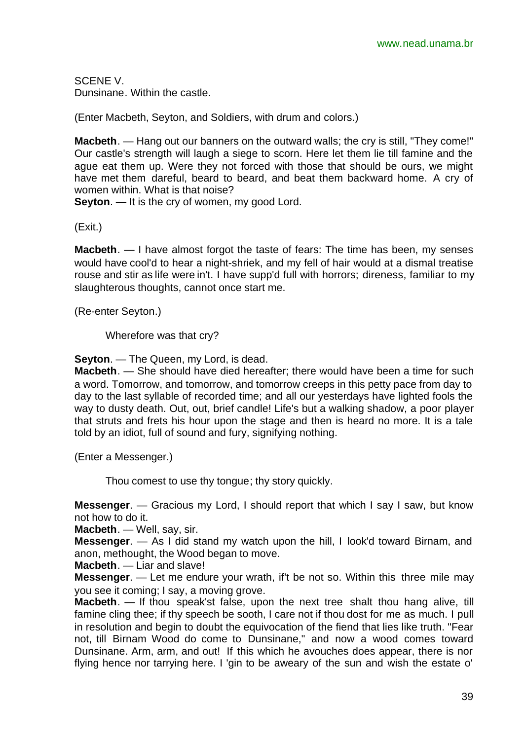SCENE V. Dunsinane. Within the castle.

(Enter Macbeth, Seyton, and Soldiers, with drum and colors.)

**Macbeth**. — Hang out our banners on the outward walls; the cry is still, "They come!" Our castle's strength will laugh a siege to scorn. Here let them lie till famine and the ague eat them up. Were they not forced with those that should be ours, we might have met them dareful, beard to beard, and beat them backward home. A cry of women within. What is that noise?

**Seyton.** — It is the cry of women, my good Lord.

(Exit.)

**Macbeth**. — I have almost forgot the taste of fears: The time has been, my senses would have cool'd to hear a night-shriek, and my fell of hair would at a dismal treatise rouse and stir as life were in't. I have supp'd full with horrors; direness, familiar to my slaughterous thoughts, cannot once start me.

(Re-enter Seyton.)

Wherefore was that cry?

**Seyton**. — The Queen, my Lord, is dead.

**Macbeth**. — She should have died hereafter; there would have been a time for such a word. Tomorrow, and tomorrow, and tomorrow creeps in this petty pace from day to day to the last syllable of recorded time; and all our yesterdays have lighted fools the way to dusty death. Out, out, brief candle! Life's but a walking shadow, a poor player that struts and frets his hour upon the stage and then is heard no more. It is a tale told by an idiot, full of sound and fury, signifying nothing.

(Enter a Messenger.)

Thou comest to use thy tongue; thy story quickly.

**Messenger**. — Gracious my Lord, I should report that which I say I saw, but know not how to do it.

**Macbeth**. — Well, say, sir.

**Messenger**. — As I did stand my watch upon the hill, I look'd toward Birnam, and anon, methought, the Wood began to move.

**Macbeth**. — Liar and slave!

**Messenger**. — Let me endure your wrath, if't be not so. Within this three mile may you see it coming; I say, a moving grove.

**Macbeth**. — If thou speak'st false, upon the next tree shalt thou hang alive, till famine cling thee; if thy speech be sooth, I care not if thou dost for me as much. I pull in resolution and begin to doubt the equivocation of the fiend that lies like truth. "Fear not, till Birnam Wood do come to Dunsinane," and now a wood comes toward Dunsinane. Arm, arm, and out! If this which he avouches does appear, there is nor flying hence nor tarrying here. I 'gin to be aweary of the sun and wish the estate o'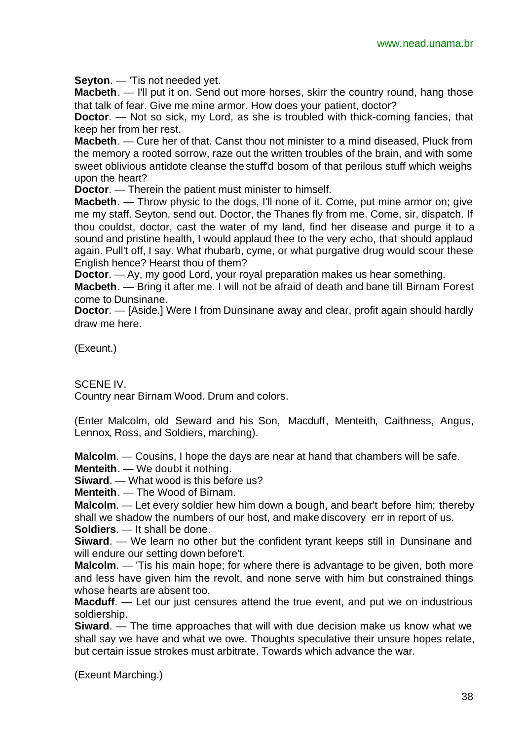**Seyton**. — 'Tis not needed yet.

**Macbeth.** — I'll put it on. Send out more horses, skirr the country round, hang those that talk of fear. Give me mine armor. How does your patient, doctor?

**Doctor**. — Not so sick, my Lord, as she is troubled with thick-coming fancies, that keep her from her rest.

**Macbeth**. — Cure her of that. Canst thou not minister to a mind diseased, Pluck from the memory a rooted sorrow, raze out the written troubles of the brain, and with some sweet oblivious antidote cleanse the stuff'd bosom of that perilous stuff which weighs upon the heart?

**Doctor**. — Therein the patient must minister to himself.

**Macbeth**. — Throw physic to the dogs, I'll none of it. Come, put mine armor on; give me my staff. Seyton, send out. Doctor, the Thanes fly from me. Come, sir, dispatch. If thou couldst, doctor, cast the water of my land, find her disease and purge it to a sound and pristine health, I would applaud thee to the very echo, that should applaud again. Pull't off, I say. What rhubarb, cyme, or what purgative drug would scour these English hence? Hearst thou of them?

**Doctor**. — Ay, my good Lord, your royal preparation makes us hear something.

**Macbeth**. — Bring it after me. I will not be afraid of death and bane till Birnam Forest come to Dunsinane.

**Doctor**. — [Aside.] Were I from Dunsinane away and clear, profit again should hardly draw me here.

(Exeunt.)

SCENE IV.

Country near Birnam Wood. Drum and colors.

(Enter Malcolm, old Seward and his Son, Macduff, Menteith, Caithness, Angus, Lennox, Ross, and Soldiers, marching).

**Malcolm**. — Cousins, I hope the days are near at hand that chambers will be safe.

**Menteith**. — We doubt it nothing.

**Siward**. — What wood is this before us?

**Menteith**. — The Wood of Birnam.

**Malcolm**. — Let every soldier hew him down a bough, and bear't before him; thereby shall we shadow the numbers of our host, and make discovery err in report of us.

**Soldiers**. — It shall be done.

**Siward**. — We learn no other but the confident tyrant keeps still in Dunsinane and will endure our setting down before't.

**Malcolm**. — 'Tis his main hope; for where there is advantage to be given, both more and less have given him the revolt, and none serve with him but constrained things whose hearts are absent too.

**Macduff**. — Let our just censures attend the true event, and put we on industrious soldiership.

**Siward**. — The time approaches that will with due decision make us know what we shall say we have and what we owe. Thoughts speculative their unsure hopes relate, but certain issue strokes must arbitrate. Towards which advance the war.

(Exeunt Marching.)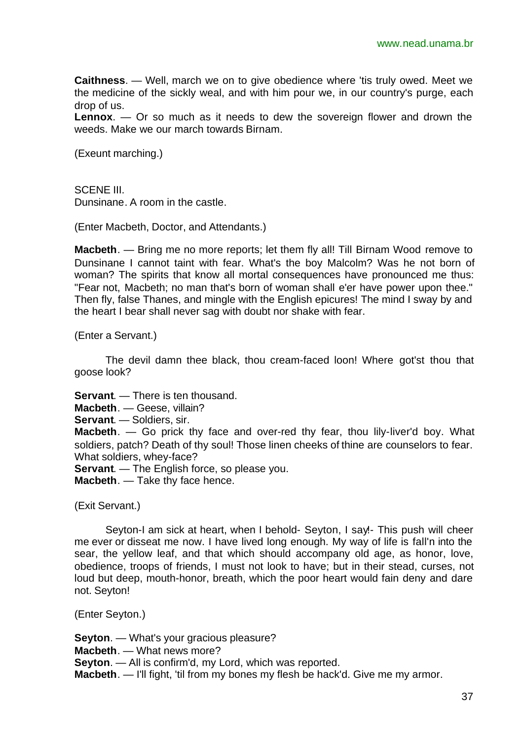**Caithness**. — Well, march we on to give obedience where 'tis truly owed. Meet we the medicine of the sickly weal, and with him pour we, in our country's purge, each drop of us.

**Lennox**. — Or so much as it needs to dew the sovereign flower and drown the weeds. Make we our march towards Birnam.

(Exeunt marching.)

SCENE III Dunsinane. A room in the castle.

(Enter Macbeth, Doctor, and Attendants.)

**Macbeth**. — Bring me no more reports; let them fly all! Till Birnam Wood remove to Dunsinane I cannot taint with fear. What's the boy Malcolm? Was he not born of woman? The spirits that know all mortal consequences have pronounced me thus: "Fear not, Macbeth; no man that's born of woman shall e'er have power upon thee." Then fly, false Thanes, and mingle with the English epicures! The mind I sway by and the heart I bear shall never sag with doubt nor shake with fear.

(Enter a Servant.)

The devil damn thee black, thou cream-faced loon! Where got'st thou that goose look?

**Servant**. — There is ten thousand.

**Macbeth**. — Geese, villain?

**Servant**. — Soldiers, sir.

**Macbeth**. — Go prick thy face and over-red thy fear, thou lily-liver'd boy. What soldiers, patch? Death of thy soul! Those linen cheeks of thine are counselors to fear. What soldiers, whey-face?

**Servant**. — The English force, so please you.

**Macbeth**. — Take thy face hence.

(Exit Servant.)

Seyton-I am sick at heart, when I behold- Seyton, I say!- This push will cheer me ever or disseat me now. I have lived long enough. My way of life is fall'n into the sear, the yellow leaf, and that which should accompany old age, as honor, love, obedience, troops of friends, I must not look to have; but in their stead, curses, not loud but deep, mouth-honor, breath, which the poor heart would fain deny and dare not. Seyton!

(Enter Seyton.)

**Seyton**. — What's your gracious pleasure? **Macbeth**. — What news more? **Seyton**. — All is confirm'd, my Lord, which was reported. **Macbeth**. — I'll fight, 'til from my bones my flesh be hack'd. Give me my armor.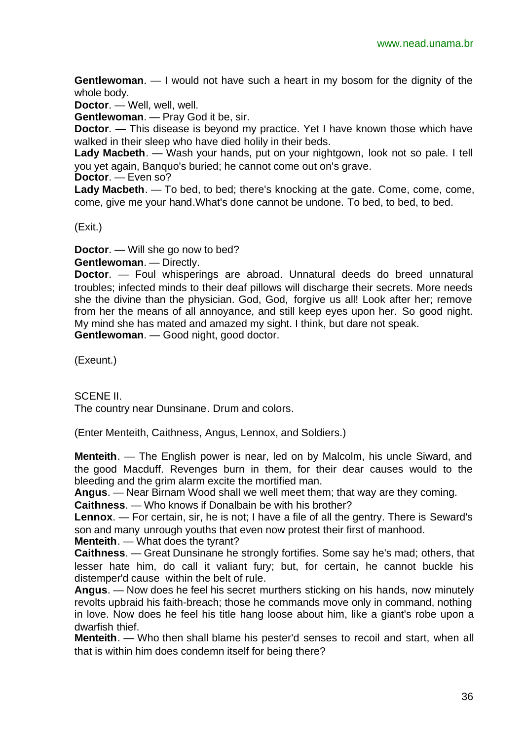**Gentlewoman**. — I would not have such a heart in my bosom for the dignity of the whole body.

**Doctor**. — Well, well, well.

**Gentlewoman**. — Pray God it be, sir.

**Doctor.** — This disease is beyond my practice. Yet I have known those which have walked in their sleep who have died holily in their beds.

**Lady Macbeth**. — Wash your hands, put on your nightgown, look not so pale. I tell you yet again, Banquo's buried; he cannot come out on's grave.

**Doctor**. — Even so?

**Lady Macbeth**. — To bed, to bed; there's knocking at the gate. Come, come, come, come, give me your hand.What's done cannot be undone. To bed, to bed, to bed.

(Exit.)

**Doctor**. — Will she go now to bed?

**Gentlewoman**. — Directly.

**Doctor**. — Foul whisperings are abroad. Unnatural deeds do breed unnatural troubles; infected minds to their deaf pillows will discharge their secrets. More needs she the divine than the physician. God, God, forgive us all! Look after her; remove from her the means of all annoyance, and still keep eyes upon her. So good night. My mind she has mated and amazed my sight. I think, but dare not speak. **Gentlewoman**. — Good night, good doctor.

(Exeunt.)

SCENE II.

The country near Dunsinane. Drum and colors.

(Enter Menteith, Caithness, Angus, Lennox, and Soldiers.)

**Menteith**. — The English power is near, led on by Malcolm, his uncle Siward, and the good Macduff. Revenges burn in them, for their dear causes would to the bleeding and the grim alarm excite the mortified man.

**Angus**. — Near Birnam Wood shall we well meet them; that way are they coming.

**Caithness**. — Who knows if Donalbain be with his brother?

**Lennox**. — For certain, sir, he is not; I have a file of all the gentry. There is Seward's son and many unrough youths that even now protest their first of manhood.

**Menteith**. — What does the tyrant?

**Caithness**. — Great Dunsinane he strongly fortifies. Some say he's mad; others, that lesser hate him, do call it valiant fury; but, for certain, he cannot buckle his distemper'd cause within the belt of rule.

**Angus**. — Now does he feel his secret murthers sticking on his hands, now minutely revolts upbraid his faith-breach; those he commands move only in command, nothing in love. Now does he feel his title hang loose about him, like a giant's robe upon a dwarfish thief.

**Menteith**. — Who then shall blame his pester'd senses to recoil and start, when all that is within him does condemn itself for being there?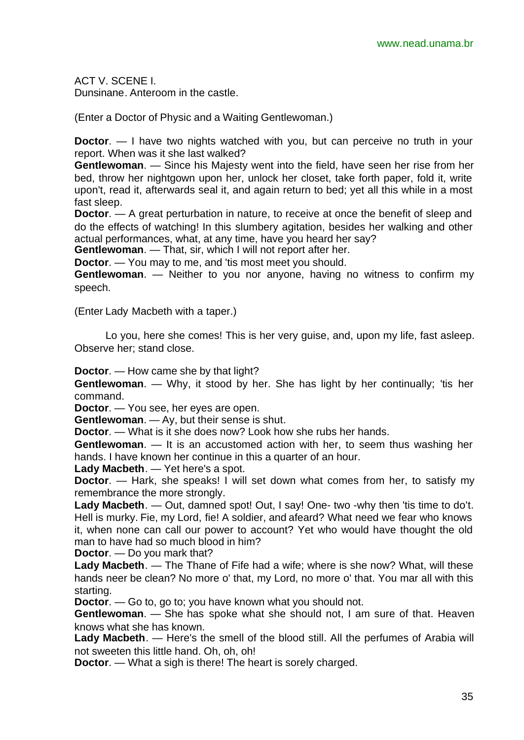ACT V. SCENE I. Dunsinane. Anteroom in the castle.

(Enter a Doctor of Physic and a Waiting Gentlewoman.)

**Doctor.** — I have two nights watched with you, but can perceive no truth in your report. When was it she last walked?

**Gentlewoman**. — Since his Majesty went into the field, have seen her rise from her bed, throw her nightgown upon her, unlock her closet, take forth paper, fold it, write upon't, read it, afterwards seal it, and again return to bed; yet all this while in a most fast sleep.

**Doctor.** — A great perturbation in nature, to receive at once the benefit of sleep and do the effects of watching! In this slumbery agitation, besides her walking and other actual performances, what, at any time, have you heard her say?

**Gentlewoman**. — That, sir, which I will not report after her.

**Doctor.** — You may to me, and 'tis most meet you should.

**Gentlewoman**. — Neither to you nor anyone, having no witness to confirm my speech.

(Enter Lady Macbeth with a taper.)

Lo you, here she comes! This is her very guise, and, upon my life, fast asleep. Observe her; stand close.

**Doctor**. — How came she by that light?

**Gentlewoman.** — Why, it stood by her. She has light by her continually; 'tis her command.

**Doctor**. — You see, her eyes are open.

**Gentlewoman**. — Ay, but their sense is shut.

**Doctor**. — What is it she does now? Look how she rubs her hands.

**Gentlewoman**. — It is an accustomed action with her, to seem thus washing her hands. I have known her continue in this a quarter of an hour.

**Lady Macbeth**. — Yet here's a spot.

**Doctor**. — Hark, she speaks! I will set down what comes from her, to satisfy my remembrance the more strongly.

Lady Macbeth. — Out, damned spot! Out, I say! One- two -why then 'tis time to do't. Hell is murky. Fie, my Lord, fie! A soldier, and afeard? What need we fear who knows it, when none can call our power to account? Yet who would have thought the old man to have had so much blood in him?

**Doctor**. — Do you mark that?

**Lady Macbeth**. — The Thane of Fife had a wife; where is she now? What, will these hands neer be clean? No more o' that, my Lord, no more o' that. You mar all with this starting.

**Doctor**. — Go to, go to; you have known what you should not.

**Gentlewoman**. — She has spoke what she should not, I am sure of that. Heaven knows what she has known.

**Lady Macbeth**. — Here's the smell of the blood still. All the perfumes of Arabia will not sweeten this little hand. Oh, oh, oh!

**Doctor.** — What a sigh is there! The heart is sorely charged.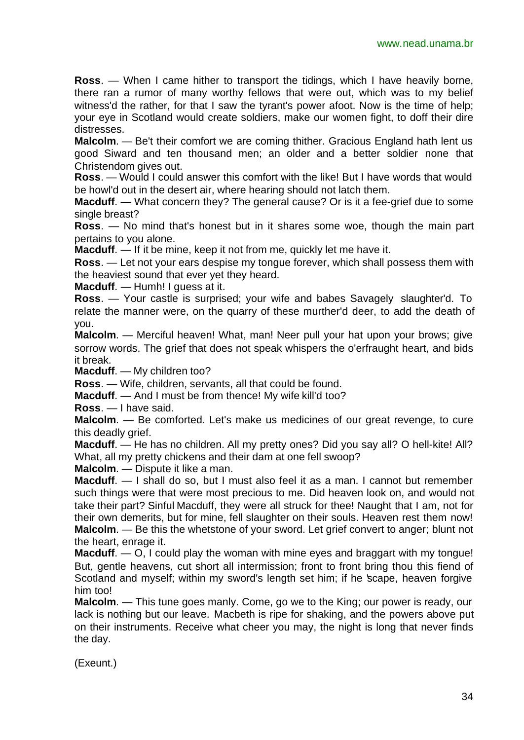**Ross**. — When I came hither to transport the tidings, which I have heavily borne, there ran a rumor of many worthy fellows that were out, which was to my belief witness'd the rather, for that I saw the tyrant's power afoot. Now is the time of help; your eye in Scotland would create soldiers, make our women fight, to doff their dire distresses.

**Malcolm**. — Be't their comfort we are coming thither. Gracious England hath lent us good Siward and ten thousand men; an older and a better soldier none that Christendom gives out.

**Ross**. — Would I could answer this comfort with the like! But I have words that would be howl'd out in the desert air, where hearing should not latch them.

**Macduff.** — What concern they? The general cause? Or is it a fee-grief due to some single breast?

**Ross**. — No mind that's honest but in it shares some woe, though the main part pertains to you alone.

**Macduff**. — If it be mine, keep it not from me, quickly let me have it.

**Ross**. — Let not your ears despise my tongue forever, which shall possess them with the heaviest sound that ever yet they heard.

**Macduff**. — Humh! I guess at it.

**Ross**. — Your castle is surprised; your wife and babes Savagely slaughter'd. To relate the manner were, on the quarry of these murther'd deer, to add the death of you.

**Malcolm.** — Merciful heaven! What, man! Neer pull your hat upon your brows; give sorrow words. The grief that does not speak whispers the o'erfraught heart, and bids it break.

**Macduff**. — My children too?

**Ross**. — Wife, children, servants, all that could be found.

**Macduff.** — And I must be from thence! My wife kill'd too?

**Ross**. — I have said.

**Malcolm**. — Be comforted. Let's make us medicines of our great revenge, to cure this deadly grief.

**Macduff.** — He has no children. All my pretty ones? Did you say all? O hell-kite! All? What, all my pretty chickens and their dam at one fell swoop?

**Malcolm**. — Dispute it like a man.

**Macduff**. — I shall do so, but I must also feel it as a man. I cannot but remember such things were that were most precious to me. Did heaven look on, and would not take their part? Sinful Macduff, they were all struck for thee! Naught that I am, not for their own demerits, but for mine, fell slaughter on their souls. Heaven rest them now! **Malcolm**. — Be this the whetstone of your sword. Let grief convert to anger; blunt not the heart, enrage it.

**Macduff.** — O, I could play the woman with mine eyes and braggart with my tongue! But, gentle heavens, cut short all intermission; front to front bring thou this fiend of Scotland and myself; within my sword's length set him; if he 'scape, heaven forgive him too!

**Malcolm**. — This tune goes manly. Come, go we to the King; our power is ready, our lack is nothing but our leave. Macbeth is ripe for shaking, and the powers above put on their instruments. Receive what cheer you may, the night is long that never finds the day.

(Exeunt.)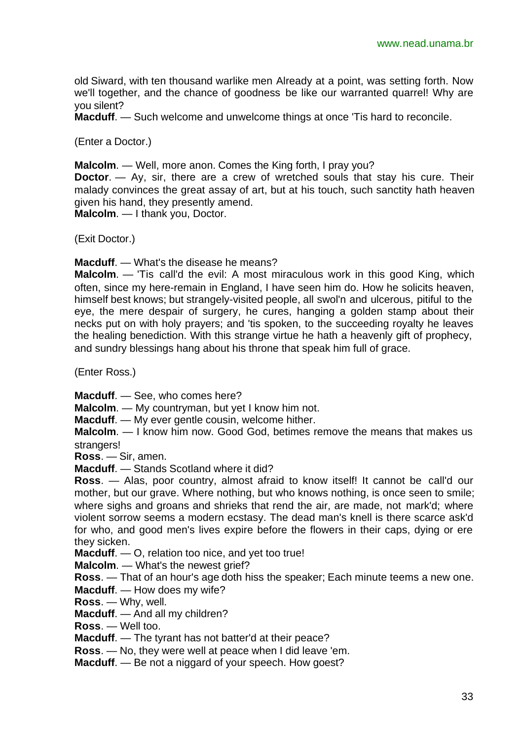old Siward, with ten thousand warlike men Already at a point, was setting forth. Now we'll together, and the chance of goodness be like our warranted quarrel! Why are you silent?

**Macduff**. — Such welcome and unwelcome things at once 'Tis hard to reconcile.

(Enter a Doctor.)

**Malcolm**. — Well, more anon. Comes the King forth, I pray you?

**Doctor**. — Ay, sir, there are a crew of wretched souls that stay his cure. Their malady convinces the great assay of art, but at his touch, such sanctity hath heaven given his hand, they presently amend.

**Malcolm**. — I thank you, Doctor.

(Exit Doctor.)

**Macduff**. — What's the disease he means?

**Malcolm.** — 'Tis call'd the evil: A most miraculous work in this good King, which often, since my here-remain in England, I have seen him do. How he solicits heaven, himself best knows; but strangely-visited people, all swol'n and ulcerous, pitiful to the eye, the mere despair of surgery, he cures, hanging a golden stamp about their necks put on with holy prayers; and 'tis spoken, to the succeeding royalty he leaves the healing benediction. With this strange virtue he hath a heavenly gift of prophecy, and sundry blessings hang about his throne that speak him full of grace.

(Enter Ross.)

**Macduff**. — See, who comes here?

**Malcolm**. — My countryman, but yet I know him not.

**Macduff**. — My ever gentle cousin, welcome hither.

**Malcolm**. — I know him now. Good God, betimes remove the means that makes us strangers!

**Ross**. — Sir, amen.

**Macduff**. — Stands Scotland where it did?

**Ross**. — Alas, poor country, almost afraid to know itself! It cannot be call'd our mother, but our grave. Where nothing, but who knows nothing, is once seen to smile; where sighs and groans and shrieks that rend the air, are made, not mark'd; where violent sorrow seems a modern ecstasy. The dead man's knell is there scarce ask'd for who, and good men's lives expire before the flowers in their caps, dying or ere they sicken.

**Macduff**. — O, relation too nice, and yet too true!

**Malcolm**. — What's the newest grief?

**Ross**. — That of an hour's age doth hiss the speaker; Each minute teems a new one.

**Macduff**. — How does my wife?

**Ross**. — Why, well.

**Macduff**. — And all my children?

**Ross**. — Well too.

**Macduff**. — The tyrant has not batter'd at their peace?

**Ross**. — No, they were well at peace when I did leave 'em.

**Macduff**. — Be not a niggard of your speech. How goest?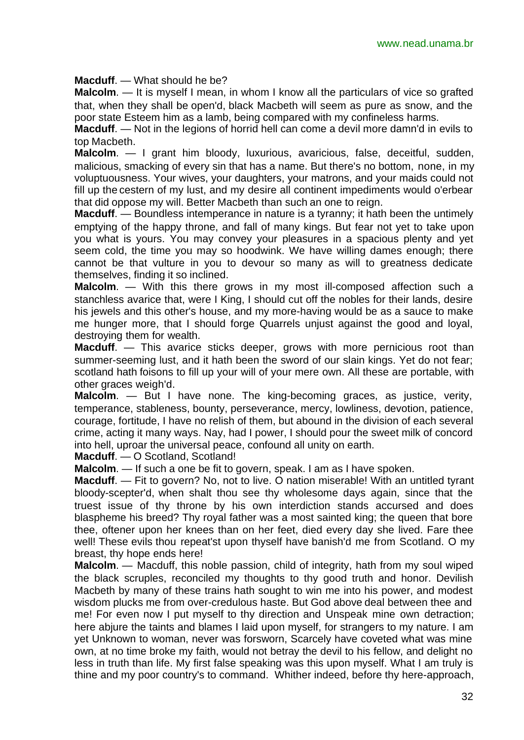**Macduff**. — What should he be?

**Malcolm.** — It is myself I mean, in whom I know all the particulars of vice so grafted that, when they shall be open'd, black Macbeth will seem as pure as snow, and the poor state Esteem him as a lamb, being compared with my confineless harms.

**Macduff**. — Not in the legions of horrid hell can come a devil more damn'd in evils to top Macbeth.

**Malcolm**. — I grant him bloody, luxurious, avaricious, false, deceitful, sudden, malicious, smacking of every sin that has a name. But there's no bottom, none, in my voluptuousness. Your wives, your daughters, your matrons, and your maids could not fill up the cestern of my lust, and my desire all continent impediments would o'erbear that did oppose my will. Better Macbeth than such an one to reign.

**Macduff**. — Boundless intemperance in nature is a tyranny; it hath been the untimely emptying of the happy throne, and fall of many kings. But fear not yet to take upon you what is yours. You may convey your pleasures in a spacious plenty and yet seem cold, the time you may so hoodwink. We have willing dames enough; there cannot be that vulture in you to devour so many as will to greatness dedicate themselves, finding it so inclined.

**Malcolm**. — With this there grows in my most ill-composed affection such a stanchless avarice that, were I King, I should cut off the nobles for their lands, desire his jewels and this other's house, and my more-having would be as a sauce to make me hunger more, that I should forge Quarrels unjust against the good and loyal, destroying them for wealth.

**Macduff.** — This avarice sticks deeper, grows with more pernicious root than summer-seeming lust, and it hath been the sword of our slain kings. Yet do not fear; scotland hath foisons to fill up your will of your mere own. All these are portable, with other graces weigh'd.

**Malcolm**. — But I have none. The king-becoming graces, as justice, verity, temperance, stableness, bounty, perseverance, mercy, lowliness, devotion, patience, courage, fortitude, I have no relish of them, but abound in the division of each several crime, acting it many ways. Nay, had I power, I should pour the sweet milk of concord into hell, uproar the universal peace, confound all unity on earth.

**Macduff**. — O Scotland, Scotland!

**Malcolm**. — If such a one be fit to govern, speak. I am as I have spoken.

**Macduff.** — Fit to govern? No, not to live. O nation miserable! With an untitled tyrant bloody-scepter'd, when shalt thou see thy wholesome days again, since that the truest issue of thy throne by his own interdiction stands accursed and does blaspheme his breed? Thy royal father was a most sainted king; the queen that bore thee, oftener upon her knees than on her feet, died every day she lived. Fare thee well! These evils thou repeat'st upon thyself have banish'd me from Scotland. O my breast, thy hope ends here!

**Malcolm**. — Macduff, this noble passion, child of integrity, hath from my soul wiped the black scruples, reconciled my thoughts to thy good truth and honor. Devilish Macbeth by many of these trains hath sought to win me into his power, and modest wisdom plucks me from over-credulous haste. But God above deal between thee and me! For even now I put myself to thy direction and Unspeak mine own detraction; here abjure the taints and blames I laid upon myself, for strangers to my nature. I am yet Unknown to woman, never was forsworn, Scarcely have coveted what was mine own, at no time broke my faith, would not betray the devil to his fellow, and delight no less in truth than life. My first false speaking was this upon myself. What I am truly is thine and my poor country's to command. Whither indeed, before thy here-approach,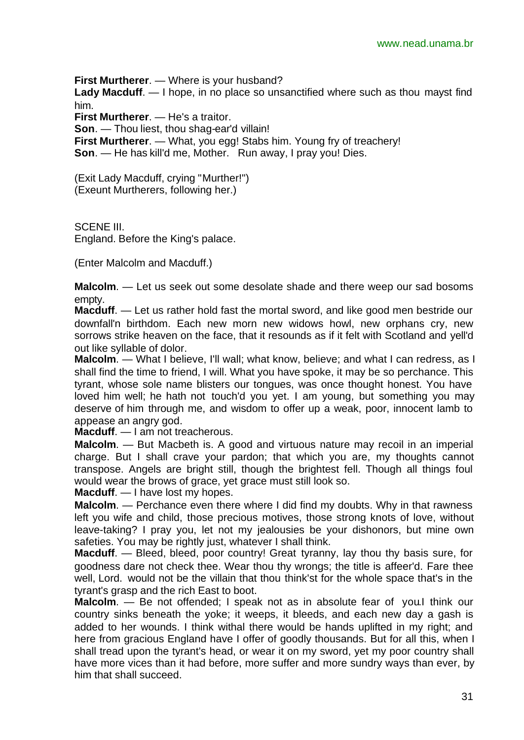**First Murtherer**. — Where is your husband? **Lady Macduff**. — I hope, in no place so unsanctified where such as thou mayst find him. **First Murtherer**. — He's a traitor.

**Son**. — Thou liest, thou shag-ear'd villain!

**First Murtherer**. — What, you egg! Stabs him. Young fry of treachery! **Son**. — He has kill'd me, Mother. Run away, I pray you! Dies.

(Exit Lady Macduff, crying "Murther!") (Exeunt Murtherers, following her.)

SCENE III. England. Before the King's palace.

(Enter Malcolm and Macduff.)

**Malcolm**. — Let us seek out some desolate shade and there weep our sad bosoms empty.

**Macduff**. — Let us rather hold fast the mortal sword, and like good men bestride our downfall'n birthdom. Each new morn new widows howl, new orphans cry, new sorrows strike heaven on the face, that it resounds as if it felt with Scotland and yell'd out like syllable of dolor.

Malcolm. — What I believe, I'll wall; what know, believe; and what I can redress, as I shall find the time to friend, I will. What you have spoke, it may be so perchance. This tyrant, whose sole name blisters our tongues, was once thought honest. You have loved him well; he hath not touch'd you yet. I am young, but something you may deserve of him through me, and wisdom to offer up a weak, poor, innocent lamb to appease an angry god.

**Macduff**. — I am not treacherous.

**Malcolm**. — But Macbeth is. A good and virtuous nature may recoil in an imperial charge. But I shall crave your pardon; that which you are, my thoughts cannot transpose. Angels are bright still, though the brightest fell. Though all things foul would wear the brows of grace, yet grace must still look so.

**Macduff**. — I have lost my hopes.

**Malcolm**. — Perchance even there where I did find my doubts. Why in that rawness left you wife and child, those precious motives, those strong knots of love, without leave-taking? I pray you, let not my jealousies be your dishonors, but mine own safeties. You may be rightly just, whatever I shall think.

**Macduff**. — Bleed, bleed, poor country! Great tyranny, lay thou thy basis sure, for goodness dare not check thee. Wear thou thy wrongs; the title is affeer'd. Fare thee well, Lord. would not be the villain that thou think'st for the whole space that's in the tyrant's grasp and the rich East to boot.

**Malcolm**. — Be not offended; I speak not as in absolute fear of you.I think our country sinks beneath the yoke; it weeps, it bleeds, and each new day a gash is added to her wounds. I think withal there would be hands uplifted in my right; and here from gracious England have I offer of goodly thousands. But for all this, when I shall tread upon the tyrant's head, or wear it on my sword, yet my poor country shall have more vices than it had before, more suffer and more sundry ways than ever, by him that shall succeed.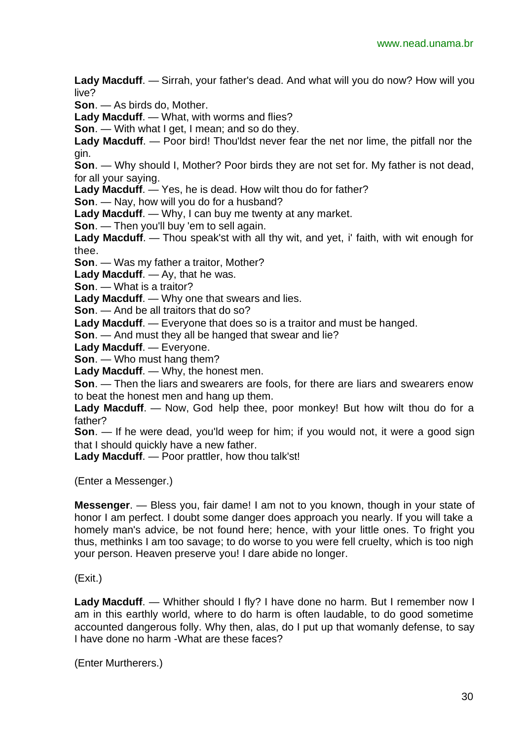**Lady Macduff**. — Sirrah, your father's dead. And what will you do now? How will you live?

**Son**. — As birds do, Mother.

**Lady Macduff**. — What, with worms and flies?

**Son**. — With what I get, I mean; and so do they.

**Lady Macduff**. — Poor bird! Thou'ldst never fear the net nor lime, the pitfall nor the gin.

**Son**. — Why should I, Mother? Poor birds they are not set for. My father is not dead, for all your saying.

**Lady Macduff**. — Yes, he is dead. How wilt thou do for father?

**Son**. — Nay, how will you do for a husband?

**Lady Macduff**. — Why, I can buy me twenty at any market.

**Son**. — Then you'll buy 'em to sell again.

**Lady Macduff**. — Thou speak'st with all thy wit, and yet, i' faith, with wit enough for thee.

**Son**. — Was my father a traitor, Mother?

**Lady Macduff**. — Ay, that he was.

**Son**. — What is a traitor?

**Lady Macduff**. — Why one that swears and lies.

**Son**. — And be all traitors that do so?

**Lady Macduff**. — Everyone that does so is a traitor and must be hanged.

**Son**. — And must they all be hanged that swear and lie?

**Lady Macduff**. — Everyone.

**Son**. — Who must hang them?

**Lady Macduff**. — Why, the honest men.

**Son**. — Then the liars and swearers are fools, for there are liars and swearers enow to beat the honest men and hang up them.

**Lady Macduff**. — Now, God help thee, poor monkey! But how wilt thou do for a father?

**Son**. — If he were dead, you'ld weep for him; if you would not, it were a good sign that I should quickly have a new father.

**Lady Macduff**. — Poor prattler, how thou talk'st!

(Enter a Messenger.)

**Messenger**. — Bless you, fair dame! I am not to you known, though in your state of honor I am perfect. I doubt some danger does approach you nearly. If you will take a homely man's advice, be not found here; hence, with your little ones. To fright you thus, methinks I am too savage; to do worse to you were fell cruelty, which is too nigh your person. Heaven preserve you! I dare abide no longer.

(Exit.)

Lady Macduff. — Whither should I fly? I have done no harm. But I remember now I am in this earthly world, where to do harm is often laudable, to do good sometime accounted dangerous folly. Why then, alas, do I put up that womanly defense, to say I have done no harm -What are these faces?

(Enter Murtherers.)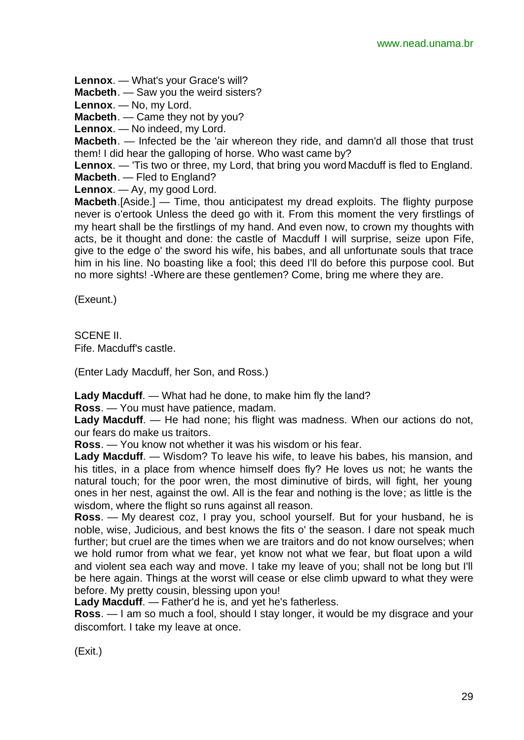**Lennox**. — What's your Grace's will?

**Macbeth**. — Saw you the weird sisters?

**Lennox**. — No, my Lord.

**Macbeth**. — Came they not by you?

**Lennox**. — No indeed, my Lord.

**Macbeth**. — Infected be the 'air whereon they ride, and damn'd all those that trust them! I did hear the galloping of horse. Who wast came by?

**Lennox**. — 'Tis two or three, my Lord, that bring you word Macduff is fled to England. **Macbeth**. — Fled to England?

**Lennox**. — Ay, my good Lord.

**Macbeth**.[Aside.] — Time, thou anticipatest my dread exploits. The flighty purpose never is o'ertook Unless the deed go with it. From this moment the very firstlings of my heart shall be the firstlings of my hand. And even now, to crown my thoughts with acts, be it thought and done: the castle of Macduff I will surprise, seize upon Fife, give to the edge o' the sword his wife, his babes, and all unfortunate souls that trace him in his line. No boasting like a fool; this deed I'll do before this purpose cool. But no more sights! -Where are these gentlemen? Come, bring me where they are.

(Exeunt.)

SCENE II. Fife. Macduff's castle.

(Enter Lady Macduff, her Son, and Ross.)

**Lady Macduff**. — What had he done, to make him fly the land?

**Ross**. — You must have patience, madam.

**Lady Macduff**. — He had none; his flight was madness. When our actions do not, our fears do make us traitors.

**Ross**. — You know not whether it was his wisdom or his fear.

**Lady Macduff**. — Wisdom? To leave his wife, to leave his babes, his mansion, and his titles, in a place from whence himself does fly? He loves us not; he wants the natural touch; for the poor wren, the most diminutive of birds, will fight, her young ones in her nest, against the owl. All is the fear and nothing is the love; as little is the wisdom, where the flight so runs against all reason.

**Ross**. — My dearest coz, I pray you, school yourself. But for your husband, he is noble, wise, Judicious, and best knows the fits o' the season. I dare not speak much further; but cruel are the times when we are traitors and do not know ourselves; when we hold rumor from what we fear, yet know not what we fear, but float upon a wild and violent sea each way and move. I take my leave of you; shall not be long but I'll be here again. Things at the worst will cease or else climb upward to what they were before. My pretty cousin, blessing upon you!

**Lady Macduff**. — Father'd he is, and yet he's fatherless.

**Ross**. — I am so much a fool, should I stay longer, it would be my disgrace and your discomfort. I take my leave at once.

(Exit.)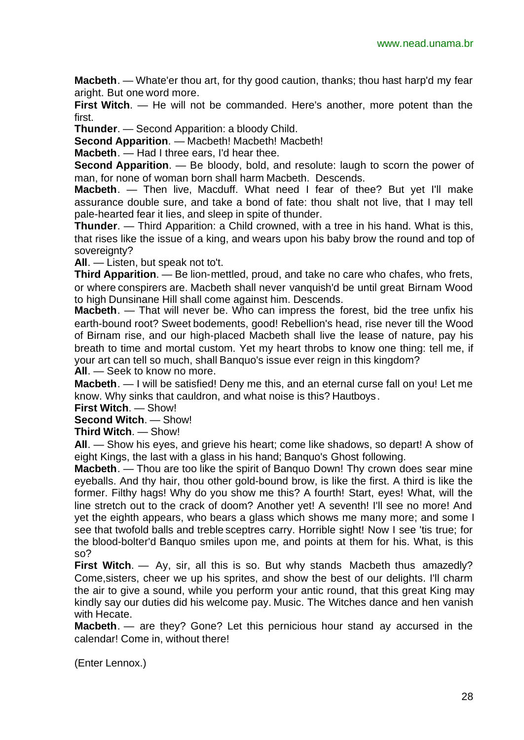**Macbeth**. — Whate'er thou art, for thy good caution, thanks; thou hast harp'd my fear aright. But one word more.

**First Witch**. — He will not be commanded. Here's another, more potent than the first.

**Thunder**. — Second Apparition: a bloody Child.

**Second Apparition**. — Macbeth! Macbeth! Macbeth!

**Macbeth**. — Had I three ears, I'd hear thee.

**Second Apparition**. — Be bloody, bold, and resolute: laugh to scorn the power of man, for none of woman born shall harm Macbeth. Descends.

**Macbeth**. — Then live, Macduff. What need I fear of thee? But yet I'll make assurance double sure, and take a bond of fate: thou shalt not live, that I may tell pale-hearted fear it lies, and sleep in spite of thunder.

**Thunder**. — Third Apparition: a Child crowned, with a tree in his hand. What is this, that rises like the issue of a king, and wears upon his baby brow the round and top of sovereignty?

**All**. — Listen, but speak not to't.

**Third Apparition**. — Be lion-mettled, proud, and take no care who chafes, who frets, or where conspirers are. Macbeth shall never vanquish'd be until great Birnam Wood to high Dunsinane Hill shall come against him. Descends.

**Macbeth**. — That will never be. Who can impress the forest, bid the tree unfix his earth-bound root? Sweet bodements, good! Rebellion's head, rise never till the Wood of Birnam rise, and our high-placed Macbeth shall live the lease of nature, pay his breath to time and mortal custom. Yet my heart throbs to know one thing: tell me, if your art can tell so much, shall Banquo's issue ever reign in this kingdom?

**All**. — Seek to know no more.

**Macbeth**. — I will be satisfied! Deny me this, and an eternal curse fall on you! Let me know. Why sinks that cauldron, and what noise is this? Hautboys.

**First Witch**. — Show!

#### **Second Witch**. — Show!

**Third Witch**. — Show!

**All**. — Show his eyes, and grieve his heart; come like shadows, so depart! A show of eight Kings, the last with a glass in his hand; Banquo's Ghost following.

**Macbeth**. — Thou are too like the spirit of Banquo Down! Thy crown does sear mine eyeballs. And thy hair, thou other gold-bound brow, is like the first. A third is like the former. Filthy hags! Why do you show me this? A fourth! Start, eyes! What, will the line stretch out to the crack of doom? Another yet! A seventh! I'll see no more! And yet the eighth appears, who bears a glass which shows me many more; and some I see that twofold balls and treble sceptres carry. Horrible sight! Now I see 'tis true; for the blood-bolter'd Banquo smiles upon me, and points at them for his. What, is this so?

**First Witch**. — Ay, sir, all this is so. But why stands Macbeth thus amazedly? Come,sisters, cheer we up his sprites, and show the best of our delights. I'll charm the air to give a sound, while you perform your antic round, that this great King may kindly say our duties did his welcome pay. Music. The Witches dance and hen vanish with Hecate.

**Macbeth**. — are they? Gone? Let this pernicious hour stand ay accursed in the calendar! Come in, without there!

(Enter Lennox.)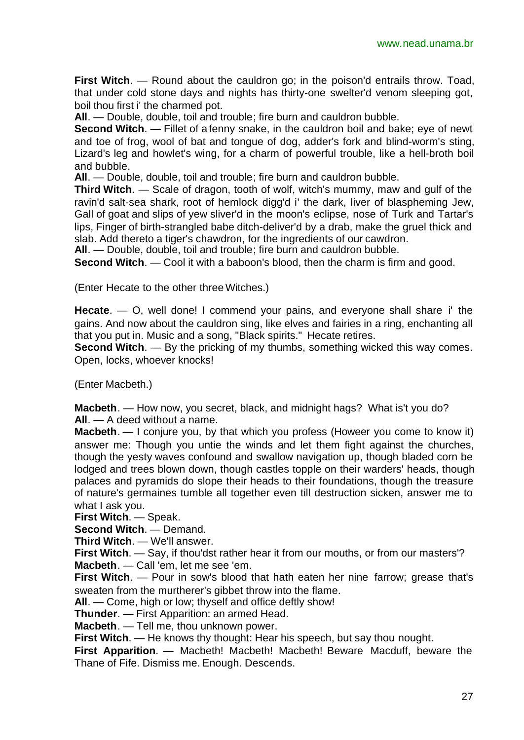**First Witch**. — Round about the cauldron go; in the poison'd entrails throw. Toad, that under cold stone days and nights has thirty-one swelter'd venom sleeping got, boil thou first i' the charmed pot.

**All**. — Double, double, toil and trouble; fire burn and cauldron bubble.

**Second Witch**. — Fillet of a fenny snake, in the cauldron boil and bake; eye of newt and toe of frog, wool of bat and tongue of dog, adder's fork and blind-worm's sting, Lizard's leg and howlet's wing, for a charm of powerful trouble, like a hell-broth boil and bubble.

**All**. — Double, double, toil and trouble; fire burn and cauldron bubble.

**Third Witch**. — Scale of dragon, tooth of wolf, witch's mummy, maw and gulf of the ravin'd salt-sea shark, root of hemlock digg'd i' the dark, liver of blaspheming Jew, Gall of goat and slips of yew sliver'd in the moon's eclipse, nose of Turk and Tartar's lips, Finger of birth-strangled babe ditch-deliver'd by a drab, make the gruel thick and slab. Add thereto a tiger's chawdron, for the ingredients of our cawdron.

**All**. — Double, double, toil and trouble; fire burn and cauldron bubble.

**Second Witch.** — Cool it with a baboon's blood, then the charm is firm and good.

(Enter Hecate to the other three Witches.)

**Hecate**. — O, well done! I commend your pains, and everyone shall share i' the gains. And now about the cauldron sing, like elves and fairies in a ring, enchanting all that you put in. Music and a song, "Black spirits." Hecate retires.

**Second Witch**. — By the pricking of my thumbs, something wicked this way comes. Open, locks, whoever knocks!

(Enter Macbeth.)

**Macbeth**. — How now, you secret, black, and midnight hags? What is't you do? **All**. — A deed without a name.

**Macbeth**. — I conjure you, by that which you profess (Howeer you come to know it) answer me: Though you untie the winds and let them fight against the churches, though the yesty waves confound and swallow navigation up, though bladed corn be lodged and trees blown down, though castles topple on their warders' heads, though palaces and pyramids do slope their heads to their foundations, though the treasure of nature's germaines tumble all together even till destruction sicken, answer me to what I ask you.

**First Witch**. — Speak.

**Second Witch**. — Demand.

**Third Witch**. — We'll answer.

**First Witch**. — Say, if thou'dst rather hear it from our mouths, or from our masters'? **Macbeth**. — Call 'em, let me see 'em.

**First Witch**. — Pour in sow's blood that hath eaten her nine farrow; grease that's sweaten from the murtherer's gibbet throw into the flame.

**All**. — Come, high or low; thyself and office deftly show!

**Thunder**. — First Apparition: an armed Head.

**Macbeth**. — Tell me, thou unknown power.

**First Witch**. — He knows thy thought: Hear his speech, but say thou nought.

**First Apparition**. — Macbeth! Macbeth! Macbeth! Beware Macduff, beware the Thane of Fife. Dismiss me. Enough. Descends.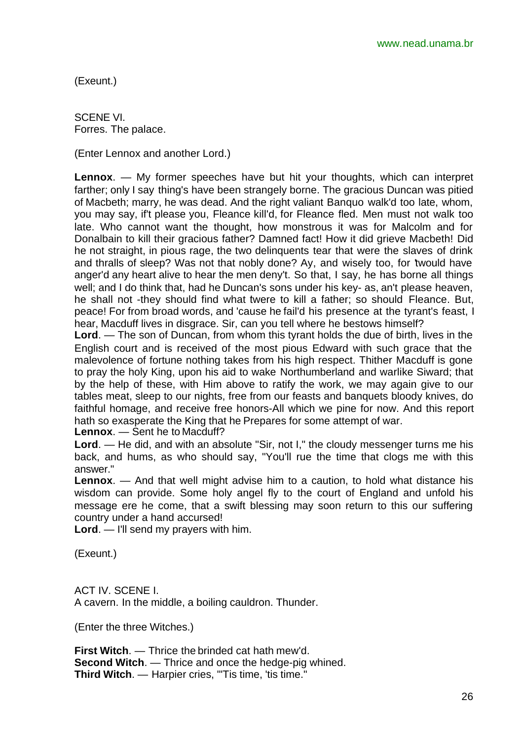(Exeunt.)

SCENE VI. Forres. The palace.

(Enter Lennox and another Lord.)

**Lennox**. — My former speeches have but hit your thoughts, which can interpret farther; only I say thing's have been strangely borne. The gracious Duncan was pitied of Macbeth; marry, he was dead. And the right valiant Banquo walk'd too late, whom, you may say, if't please you, Fleance kill'd, for Fleance fled. Men must not walk too late. Who cannot want the thought, how monstrous it was for Malcolm and for Donalbain to kill their gracious father? Damned fact! How it did grieve Macbeth! Did he not straight, in pious rage, the two delinquents tear that were the slaves of drink and thralls of sleep? Was not that nobly done? Ay, and wisely too, for 'twould have anger'd any heart alive to hear the men deny't. So that, I say, he has borne all things well; and I do think that, had he Duncan's sons under his key- as, an't please heaven, he shall not -they should find what twere to kill a father; so should Fleance. But, peace! For from broad words, and 'cause he fail'd his presence at the tyrant's feast, I hear, Macduff lives in disgrace. Sir, can you tell where he bestows himself?

**Lord**. — The son of Duncan, from whom this tyrant holds the due of birth, lives in the English court and is received of the most pious Edward with such grace that the malevolence of fortune nothing takes from his high respect. Thither Macduff is gone to pray the holy King, upon his aid to wake Northumberland and warlike Siward; that by the help of these, with Him above to ratify the work, we may again give to our tables meat, sleep to our nights, free from our feasts and banquets bloody knives, do faithful homage, and receive free honors-All which we pine for now. And this report hath so exasperate the King that he Prepares for some attempt of war.

**Lennox**. — Sent he to Macduff?

**Lord**. — He did, and with an absolute "Sir, not I," the cloudy messenger turns me his back, and hums, as who should say, "You'll rue the time that clogs me with this answer."

**Lennox**. — And that well might advise him to a caution, to hold what distance his wisdom can provide. Some holy angel fly to the court of England and unfold his message ere he come, that a swift blessing may soon return to this our suffering country under a hand accursed!

**Lord**. — I'll send my prayers with him.

(Exeunt.)

ACT IV. SCENE I. A cavern. In the middle, a boiling cauldron. Thunder.

(Enter the three Witches.)

**First Witch**. — Thrice the brinded cat hath mew'd. **Second Witch.** — Thrice and once the hedge-pig whined. Third Witch. - Harpier cries, "'Tis time, 'tis time."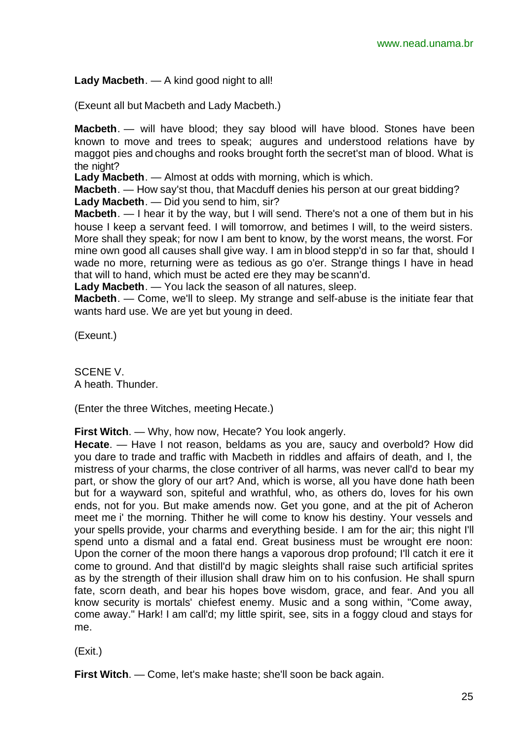**Lady Macbeth**. — A kind good night to all!

(Exeunt all but Macbeth and Lady Macbeth.)

**Macbeth**. — will have blood; they say blood will have blood. Stones have been known to move and trees to speak; augures and understood relations have by maggot pies and choughs and rooks brought forth the secret'st man of blood. What is the night?

**Lady Macbeth**. — Almost at odds with morning, which is which.

**Macbeth**. — How say'st thou, that Macduff denies his person at our great bidding? **Lady Macbeth**. — Did you send to him, sir?

**Macbeth**. — I hear it by the way, but I will send. There's not a one of them but in his house I keep a servant feed. I will tomorrow, and betimes I will, to the weird sisters. More shall they speak; for now I am bent to know, by the worst means, the worst. For mine own good all causes shall give way. I am in blood stepp'd in so far that, should I wade no more, returning were as tedious as go o'er. Strange things I have in head that will to hand, which must be acted ere they may be scann'd.

**Lady Macbeth**. — You lack the season of all natures, sleep.

**Macbeth**. — Come, we'll to sleep. My strange and self-abuse is the initiate fear that wants hard use. We are yet but young in deed.

(Exeunt.)

SCENE V. A heath. Thunder.

(Enter the three Witches, meeting Hecate.)

**First Witch**. — Why, how now, Hecate? You look angerly.

**Hecate**. — Have I not reason, beldams as you are, saucy and overbold? How did you dare to trade and traffic with Macbeth in riddles and affairs of death, and I, the mistress of your charms, the close contriver of all harms, was never call'd to bear my part, or show the glory of our art? And, which is worse, all you have done hath been but for a wayward son, spiteful and wrathful, who, as others do, loves for his own ends, not for you. But make amends now. Get you gone, and at the pit of Acheron meet me i' the morning. Thither he will come to know his destiny. Your vessels and your spells provide, your charms and everything beside. I am for the air; this night I'll spend unto a dismal and a fatal end. Great business must be wrought ere noon: Upon the corner of the moon there hangs a vaporous drop profound; I'll catch it ere it come to ground. And that distill'd by magic sleights shall raise such artificial sprites as by the strength of their illusion shall draw him on to his confusion. He shall spurn fate, scorn death, and bear his hopes bove wisdom, grace, and fear. And you all know security is mortals' chiefest enemy. Music and a song within, "Come away, come away." Hark! I am call'd; my little spirit, see, sits in a foggy cloud and stays for me.

(Exit.)

**First Witch**. — Come, let's make haste; she'll soon be back again.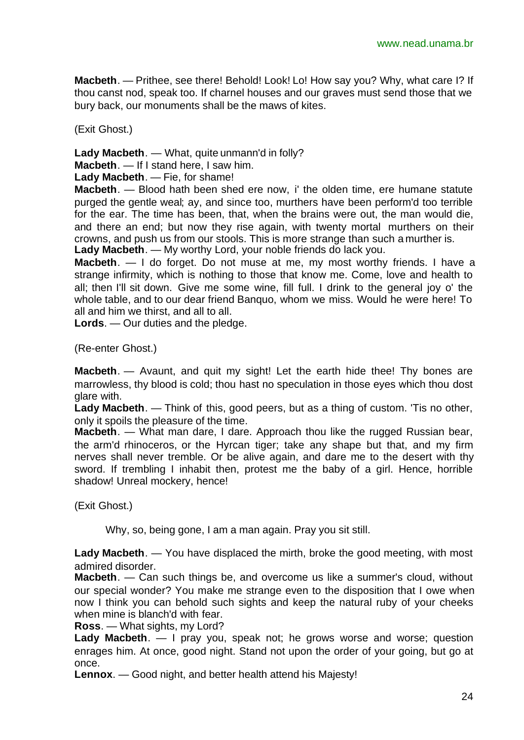**Macbeth**. — Prithee, see there! Behold! Look! Lo! How say you? Why, what care I? If thou canst nod, speak too. If charnel houses and our graves must send those that we bury back, our monuments shall be the maws of kites.

(Exit Ghost.)

**Lady Macbeth**. — What, quite unmann'd in folly?

**Macbeth**. — If I stand here, I saw him.

**Lady Macbeth**. — Fie, for shame!

**Macbeth**. — Blood hath been shed ere now, i' the olden time, ere humane statute purged the gentle weal; ay, and since too, murthers have been perform'd too terrible for the ear. The time has been, that, when the brains were out, the man would die, and there an end; but now they rise again, with twenty mortal murthers on their crowns, and push us from our stools. This is more strange than such a murther is. **Lady Macbeth**. — My worthy Lord, your noble friends do lack you.

**Macbeth**. — I do forget. Do not muse at me, my most worthy friends. I have a strange infirmity, which is nothing to those that know me. Come, love and health to all; then I'll sit down. Give me some wine, fill full. I drink to the general joy o' the whole table, and to our dear friend Banquo, whom we miss. Would he were here! To all and him we thirst, and all to all.

**Lords**. — Our duties and the pledge.

(Re-enter Ghost.)

**Macbeth**. — Avaunt, and quit my sight! Let the earth hide thee! Thy bones are marrowless, thy blood is cold; thou hast no speculation in those eyes which thou dost glare with.

**Lady Macbeth**. — Think of this, good peers, but as a thing of custom. 'Tis no other, only it spoils the pleasure of the time.

**Macbeth**. — What man dare, I dare. Approach thou like the rugged Russian bear, the arm'd rhinoceros, or the Hyrcan tiger; take any shape but that, and my firm nerves shall never tremble. Or be alive again, and dare me to the desert with thy sword. If trembling I inhabit then, protest me the baby of a girl. Hence, horrible shadow! Unreal mockery, hence!

(Exit Ghost.)

Why, so, being gone, I am a man again. Pray you sit still.

**Lady Macbeth**. — You have displaced the mirth, broke the good meeting, with most admired disorder.

**Macbeth**. — Can such things be, and overcome us like a summer's cloud, without our special wonder? You make me strange even to the disposition that I owe when now I think you can behold such sights and keep the natural ruby of your cheeks when mine is blanch'd with fear.

**Ross**. — What sights, my Lord?

**Lady Macbeth**. — I pray you, speak not; he grows worse and worse; question enrages him. At once, good night. Stand not upon the order of your going, but go at once.

**Lennox**. — Good night, and better health attend his Majesty!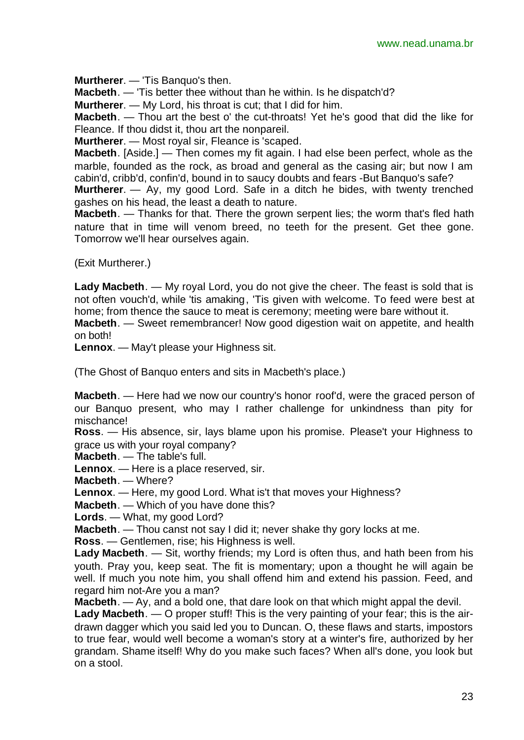**Murtherer**. — 'Tis Banquo's then.

**Macbeth**. — 'Tis better thee without than he within. Is he dispatch'd?

**Murtherer**. — My Lord, his throat is cut; that I did for him.

**Macbeth**. — Thou art the best o' the cut-throats! Yet he's good that did the like for Fleance. If thou didst it, thou art the nonpareil.

**Murtherer**. — Most royal sir, Fleance is 'scaped.

**Macbeth**. [Aside.] — Then comes my fit again. I had else been perfect, whole as the marble, founded as the rock, as broad and general as the casing air; but now I am cabin'd, cribb'd, confin'd, bound in to saucy doubts and fears -But Banquo's safe?

**Murtherer**. — Ay, my good Lord. Safe in a ditch he bides, with twenty trenched gashes on his head, the least a death to nature.

**Macbeth**. — Thanks for that. There the grown serpent lies; the worm that's fled hath nature that in time will venom breed, no teeth for the present. Get thee gone. Tomorrow we'll hear ourselves again.

(Exit Murtherer.)

**Lady Macbeth**. — My royal Lord, you do not give the cheer. The feast is sold that is not often vouch'd, while 'tis amaking, 'Tis given with welcome. To feed were best at home; from thence the sauce to meat is ceremony; meeting were bare without it.

**Macbeth**. — Sweet remembrancer! Now good digestion wait on appetite, and health on both!

**Lennox**. — May't please your Highness sit.

(The Ghost of Banquo enters and sits in Macbeth's place.)

**Macbeth**. — Here had we now our country's honor roof'd, were the graced person of our Banquo present, who may I rather challenge for unkindness than pity for mischance!

**Ross**. — His absence, sir, lays blame upon his promise. Please't your Highness to grace us with your royal company?

**Macbeth**. — The table's full.

**Lennox**. — Here is a place reserved, sir.

**Macbeth**. — Where?

**Lennox**. — Here, my good Lord. What is't that moves your Highness?

**Macbeth**. — Which of you have done this?

**Lords**. — What, my good Lord?

**Macbeth**. — Thou canst not say I did it; never shake thy gory locks at me.

**Ross**. — Gentlemen, rise; his Highness is well.

**Lady Macbeth**. — Sit, worthy friends; my Lord is often thus, and hath been from his youth. Pray you, keep seat. The fit is momentary; upon a thought he will again be well. If much you note him, you shall offend him and extend his passion. Feed, and regard him not-Are you a man?

**Macbeth**. — Ay, and a bold one, that dare look on that which might appal the devil.

**Lady Macbeth**. — O proper stuff! This is the very painting of your fear; this is the airdrawn dagger which you said led you to Duncan. O, these flaws and starts, impostors to true fear, would well become a woman's story at a winter's fire, authorized by her grandam. Shame itself! Why do you make such faces? When all's done, you look but on a stool.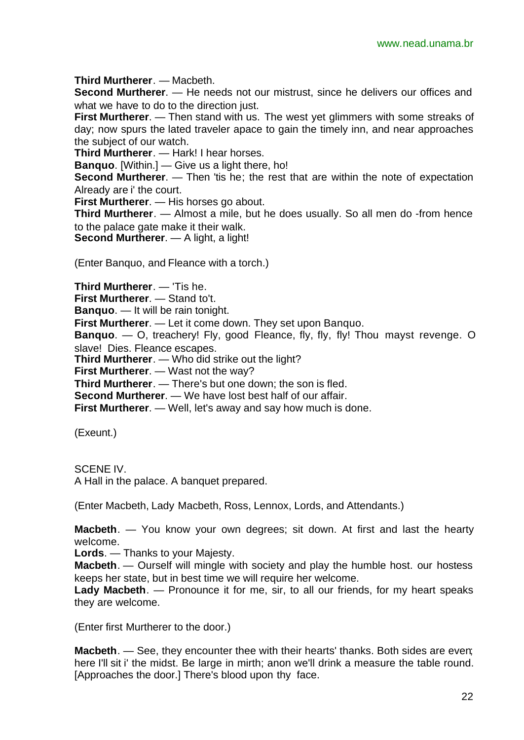**Third Murtherer**. — Macbeth.

**Second Murtherer**. — He needs not our mistrust, since he delivers our offices and what we have to do to the direction just.

**First Murtherer**. — Then stand with us. The west yet glimmers with some streaks of day; now spurs the lated traveler apace to gain the timely inn, and near approaches the subject of our watch.

**Third Murtherer**. — Hark! I hear horses.

**Banquo**. [Within.] — Give us a light there, ho!

**Second Murtherer.** — Then 'tis he; the rest that are within the note of expectation Already are i' the court.

**First Murtherer**. — His horses go about.

**Third Murtherer**. — Almost a mile, but he does usually. So all men do -from hence to the palace gate make it their walk.

**Second Murtherer**. — A light, a light!

(Enter Banquo, and Fleance with a torch.)

**Third Murtherer**. — 'Tis he.

**First Murtherer**. — Stand to't.

**Banquo**. — It will be rain tonight.

**First Murtherer**. — Let it come down. They set upon Banquo.

**Banquo**. — O, treachery! Fly, good Fleance, fly, fly, fly! Thou mayst revenge. O slave! Dies. Fleance escapes.

**Third Murtherer**. — Who did strike out the light?

**First Murtherer**. — Wast not the way?

**Third Murtherer**. — There's but one down; the son is fled.

**Second Murtherer**. — We have lost best half of our affair.

**First Murtherer.** — Well, let's away and say how much is done.

(Exeunt.)

SCENE IV. A Hall in the palace. A banquet prepared.

(Enter Macbeth, Lady Macbeth, Ross, Lennox, Lords, and Attendants.)

**Macbeth**. — You know your own degrees; sit down. At first and last the hearty welcome.

**Lords**. — Thanks to your Majesty.

**Macbeth**. — Ourself will mingle with society and play the humble host. our hostess keeps her state, but in best time we will require her welcome.

**Lady Macbeth**. — Pronounce it for me, sir, to all our friends, for my heart speaks they are welcome.

(Enter first Murtherer to the door.)

**Macbeth**. — See, they encounter thee with their hearts' thanks. Both sides are even; here I'll sit i' the midst. Be large in mirth; anon we'll drink a measure the table round. [Approaches the door.] There's blood upon thy face.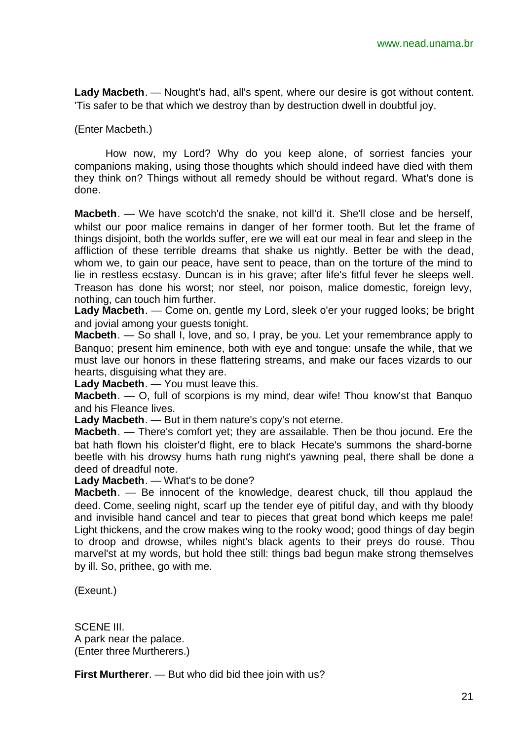**Lady Macbeth**. — Nought's had, all's spent, where our desire is got without content. 'Tis safer to be that which we destroy than by destruction dwell in doubtful joy.

(Enter Macbeth.)

How now, my Lord? Why do you keep alone, of sorriest fancies your companions making, using those thoughts which should indeed have died with them they think on? Things without all remedy should be without regard. What's done is done.

**Macbeth**. — We have scotch'd the snake, not kill'd it. She'll close and be herself, whilst our poor malice remains in danger of her former tooth. But let the frame of things disjoint, both the worlds suffer, ere we will eat our meal in fear and sleep in the affliction of these terrible dreams that shake us nightly. Better be with the dead, whom we, to gain our peace, have sent to peace, than on the torture of the mind to lie in restless ecstasy. Duncan is in his grave; after life's fitful fever he sleeps well. Treason has done his worst; nor steel, nor poison, malice domestic, foreign levy, nothing, can touch him further.

**Lady Macbeth**. — Come on, gentle my Lord, sleek o'er your rugged looks; be bright and jovial among your guests tonight.

**Macbeth**. — So shall I, love, and so, I pray, be you. Let your remembrance apply to Banquo; present him eminence, both with eye and tongue: unsafe the while, that we must lave our honors in these flattering streams, and make our faces vizards to our hearts, disguising what they are.

**Lady Macbeth**. — You must leave this.

**Macbeth**. — O, full of scorpions is my mind, dear wife! Thou know'st that Banquo and his Fleance lives.

**Lady Macbeth**. — But in them nature's copy's not eterne.

**Macbeth**. — There's comfort yet; they are assailable. Then be thou jocund. Ere the bat hath flown his cloister'd flight, ere to black Hecate's summons the shard-borne beetle with his drowsy hums hath rung night's yawning peal, there shall be done a deed of dreadful note.

**Lady Macbeth**. — What's to be done?

**Macbeth**. — Be innocent of the knowledge, dearest chuck, till thou applaud the deed. Come, seeling night, scarf up the tender eye of pitiful day, and with thy bloody and invisible hand cancel and tear to pieces that great bond which keeps me pale! Light thickens, and the crow makes wing to the rooky wood; good things of day begin to droop and drowse, whiles night's black agents to their preys do rouse. Thou marvel'st at my words, but hold thee still: things bad begun make strong themselves by ill. So, prithee, go with me.

(Exeunt.)

SCENE III. A park near the palace. (Enter three Murtherers.)

**First Murtherer**. — But who did bid thee join with us?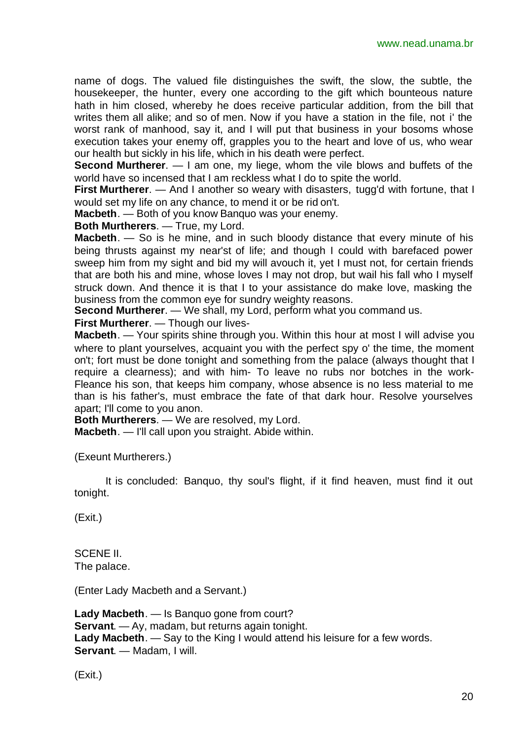name of dogs. The valued file distinguishes the swift, the slow, the subtle, the housekeeper, the hunter, every one according to the gift which bounteous nature hath in him closed, whereby he does receive particular addition, from the bill that writes them all alike; and so of men. Now if you have a station in the file, not i' the worst rank of manhood, say it, and I will put that business in your bosoms whose execution takes your enemy off, grapples you to the heart and love of us, who wear our health but sickly in his life, which in his death were perfect.

**Second Murtherer**. — I am one, my liege, whom the vile blows and buffets of the world have so incensed that I am reckless what I do to spite the world.

**First Murtherer.** — And I another so weary with disasters, tugg'd with fortune, that I would set my life on any chance, to mend it or be rid on't.

**Macbeth**. — Both of you know Banquo was your enemy.

**Both Murtherers**. — True, my Lord.

**Macbeth**. — So is he mine, and in such bloody distance that every minute of his being thrusts against my near'st of life; and though I could with barefaced power sweep him from my sight and bid my will avouch it, yet I must not, for certain friends that are both his and mine, whose loves I may not drop, but wail his fall who I myself struck down. And thence it is that I to your assistance do make love, masking the business from the common eye for sundry weighty reasons.

**Second Murtherer**. — We shall, my Lord, perform what you command us.

**First Murtherer**. — Though our lives-

**Macbeth**. — Your spirits shine through you. Within this hour at most I will advise you where to plant yourselves, acquaint you with the perfect spy o' the time, the moment on't; fort must be done tonight and something from the palace (always thought that I require a clearness); and with him- To leave no rubs nor botches in the work-Fleance his son, that keeps him company, whose absence is no less material to me than is his father's, must embrace the fate of that dark hour. Resolve yourselves apart; I'll come to you anon.

**Both Murtherers**. — We are resolved, my Lord.

**Macbeth**. — I'll call upon you straight. Abide within.

(Exeunt Murtherers.)

It is concluded: Banquo, thy soul's flight, if it find heaven, must find it out tonight.

(Exit.)

SCENE II. The palace.

(Enter Lady Macbeth and a Servant.)

```
Lady Macbeth. — Is Banquo gone from court?
Servant. — Ay, madam, but returns again tonight.
Lady Macbeth. — Say to the King I would attend his leisure for a few words.
Servant. — Madam, I will.
```
(Exit.)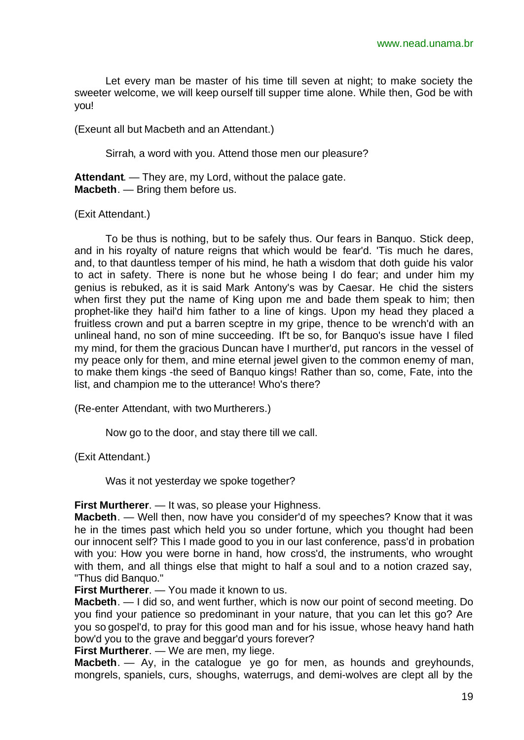Let every man be master of his time till seven at night; to make society the sweeter welcome, we will keep ourself till supper time alone. While then, God be with you!

(Exeunt all but Macbeth and an Attendant.)

Sirrah, a word with you. Attend those men our pleasure?

**Attendant**. — They are, my Lord, without the palace gate. **Macbeth**. — Bring them before us.

(Exit Attendant.)

To be thus is nothing, but to be safely thus. Our fears in Banquo. Stick deep, and in his royalty of nature reigns that which would be fear'd. 'Tis much he dares, and, to that dauntless temper of his mind, he hath a wisdom that doth guide his valor to act in safety. There is none but he whose being I do fear; and under him my genius is rebuked, as it is said Mark Antony's was by Caesar. He chid the sisters when first they put the name of King upon me and bade them speak to him; then prophet-like they hail'd him father to a line of kings. Upon my head they placed a fruitless crown and put a barren sceptre in my gripe, thence to be wrench'd with an unlineal hand, no son of mine succeeding. If't be so, for Banquo's issue have I filed my mind, for them the gracious Duncan have I murther'd, put rancors in the vessel of my peace only for them, and mine eternal jewel given to the common enemy of man, to make them kings -the seed of Banquo kings! Rather than so, come, Fate, into the list, and champion me to the utterance! Who's there?

(Re-enter Attendant, with two Murtherers.)

Now go to the door, and stay there till we call.

(Exit Attendant.)

Was it not yesterday we spoke together?

**First Murtherer**. — It was, so please your Highness.

**Macbeth**. — Well then, now have you consider'd of my speeches? Know that it was he in the times past which held you so under fortune, which you thought had been our innocent self? This I made good to you in our last conference, pass'd in probation with you: How you were borne in hand, how cross'd, the instruments, who wrought with them, and all things else that might to half a soul and to a notion crazed say, "Thus did Banquo."

**First Murtherer**. — You made it known to us.

**Macbeth**. — I did so, and went further, which is now our point of second meeting. Do you find your patience so predominant in your nature, that you can let this go? Are you so gospel'd, to pray for this good man and for his issue, whose heavy hand hath bow'd you to the grave and beggar'd yours forever?

**First Murtherer**. — We are men, my liege.

**Macbeth**. — Ay, in the catalogue ye go for men, as hounds and greyhounds, mongrels, spaniels, curs, shoughs, waterrugs, and demi-wolves are clept all by the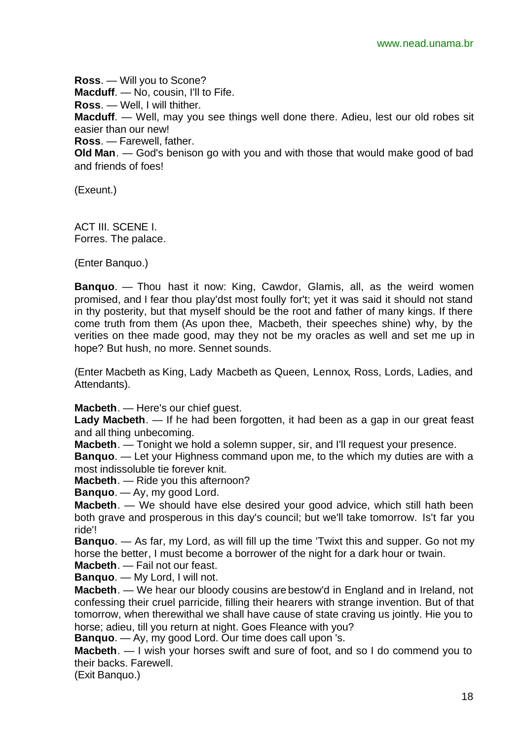**Ross**. — Will you to Scone? **Macduff.** — No. cousin, I'll to Fife. **Ross**. — Well, I will thither. **Macduff**. — Well, may you see things well done there. Adieu, lest our old robes sit easier than our new! **Ross**. — Farewell, father.

**Old Man**. — God's benison go with you and with those that would make good of bad and friends of foes!

(Exeunt.)

ACT III. SCENE I. Forres. The palace.

(Enter Banquo.)

**Banquo**. — Thou hast it now: King, Cawdor, Glamis, all, as the weird women promised, and I fear thou play'dst most foully for't; yet it was said it should not stand in thy posterity, but that myself should be the root and father of many kings. If there come truth from them (As upon thee, Macbeth, their speeches shine) why, by the verities on thee made good, may they not be my oracles as well and set me up in hope? But hush, no more. Sennet sounds.

(Enter Macbeth as King, Lady Macbeth as Queen, Lennox, Ross, Lords, Ladies, and Attendants).

**Macbeth**. — Here's our chief guest.

**Lady Macbeth**. — If he had been forgotten, it had been as a gap in our great feast and all thing unbecoming.

**Macbeth**. — Tonight we hold a solemn supper, sir, and I'll request your presence.

**Banquo**. — Let your Highness command upon me, to the which my duties are with a most indissoluble tie forever knit.

**Macbeth**. — Ride you this afternoon?

**Banquo**. — Ay, my good Lord.

**Macbeth**. — We should have else desired your good advice, which still hath been both grave and prosperous in this day's council; but we'll take tomorrow. Is't far you ride'!

**Banquo**. — As far, my Lord, as will fill up the time 'Twixt this and supper. Go not my horse the better, I must become a borrower of the night for a dark hour or twain.

**Macbeth**. — Fail not our feast. **Banquo**. — My Lord, I will not.

**Macbeth**. — We hear our bloody cousins are bestow'd in England and in Ireland, not confessing their cruel parricide, filling their hearers with strange invention. But of that tomorrow, when therewithal we shall have cause of state craving us jointly. Hie you to horse; adieu, till you return at night. Goes Fleance with you?

**Banquo**. — Ay, my good Lord. Our time does call upon 's.

**Macbeth**. — I wish your horses swift and sure of foot, and so I do commend you to their backs. Farewell.

(Exit Banquo.)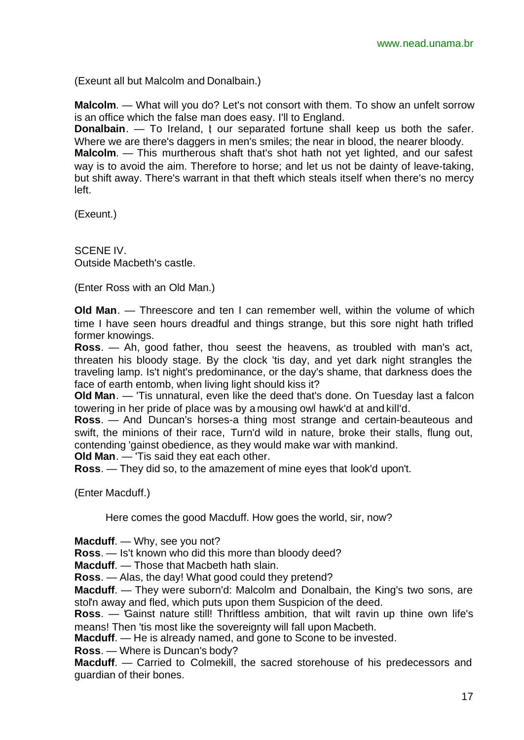(Exeunt all but Malcolm and Donalbain.)

**Malcolm**. — What will you do? Let's not consort with them. To show an unfelt sorrow is an office which the false man does easy. I'll to England.

**Donalbain**. — To Ireland, I our separated fortune shall keep us both the safer. Where we are there's daggers in men's smiles; the near in blood, the nearer bloody. **Malcolm**. — This murtherous shaft that's shot hath not yet lighted, and our safest way is to avoid the aim. Therefore to horse; and let us not be dainty of leave-taking, but shift away. There's warrant in that theft which steals itself when there's no mercy left.

(Exeunt.)

SCENE IV. Outside Macbeth's castle.

(Enter Ross with an Old Man.)

**Old Man**. — Threescore and ten I can remember well, within the volume of which time I have seen hours dreadful and things strange, but this sore night hath trifled former knowings.

**Ross**. — Ah, good father, thou seest the heavens, as troubled with man's act, threaten his bloody stage. By the clock 'tis day, and yet dark night strangles the traveling lamp. Is't night's predominance, or the day's shame, that darkness does the face of earth entomb, when living light should kiss it?

**Old Man**. — 'Tis unnatural, even like the deed that's done. On Tuesday last a falcon towering in her pride of place was by a mousing owl hawk'd at and kill'd.

**Ross**. — And Duncan's horses-a thing most strange and certain-beauteous and swift, the minions of their race, Turn'd wild in nature, broke their stalls, flung out, contending 'gainst obedience, as they would make war with mankind.

**Old Man**. — 'Tis said they eat each other.

**Ross**. — They did so, to the amazement of mine eyes that look'd upon't.

(Enter Macduff.)

Here comes the good Macduff. How goes the world, sir, now?

**Macduff**. — Why, see you not?

**Ross**. — Is't known who did this more than bloody deed?

**Macduff**. — Those that Macbeth hath slain.

**Ross**. — Alas, the day! What good could they pretend?

**Macduff**. — They were suborn'd: Malcolm and Donalbain, the King's two sons, are stol'n away and fled, which puts upon them Suspicion of the deed.

**Ross**. — 'Gainst nature still! Thriftless ambition, that wilt ravin up thine own life's means! Then 'tis most like the sovereignty will fall upon Macbeth.

**Macduff**. — He is already named, and gone to Scone to be invested.

**Ross**. — Where is Duncan's body?

**Macduff**. — Carried to Colmekill, the sacred storehouse of his predecessors and guardian of their bones.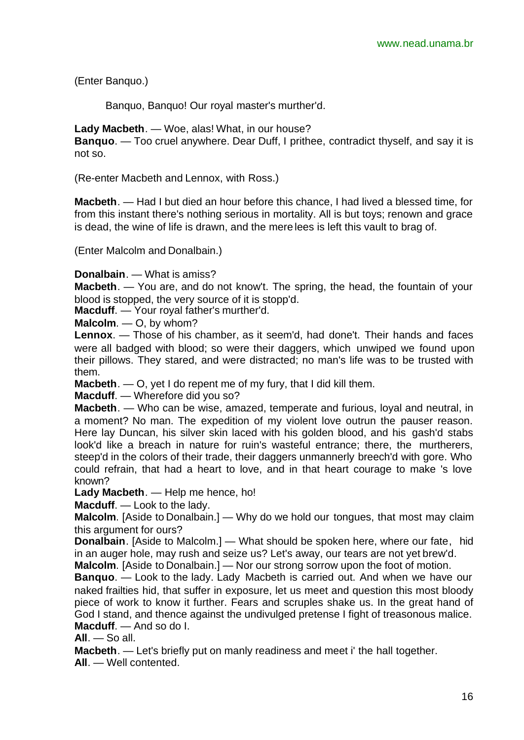(Enter Banquo.)

Banquo, Banquo! Our royal master's murther'd.

**Lady Macbeth**. — Woe, alas! What, in our house?

**Banquo**. — Too cruel anywhere. Dear Duff, I prithee, contradict thyself, and say it is not so.

(Re-enter Macbeth and Lennox, with Ross.)

**Macbeth**. — Had I but died an hour before this chance, I had lived a blessed time, for from this instant there's nothing serious in mortality. All is but toys; renown and grace is dead, the wine of life is drawn, and the mere lees is left this vault to brag of.

(Enter Malcolm and Donalbain.)

**Donalbain**. — What is amiss?

**Macbeth**. — You are, and do not know't. The spring, the head, the fountain of your blood is stopped, the very source of it is stopp'd.

**Macduff**. — Your royal father's murther'd.

**Malcolm**. — O, by whom?

**Lennox**. — Those of his chamber, as it seem'd, had done't. Their hands and faces were all badged with blood; so were their daggers, which unwiped we found upon their pillows. They stared, and were distracted; no man's life was to be trusted with them.

**Macbeth**. — O, yet I do repent me of my fury, that I did kill them.

**Macduff**. — Wherefore did you so?

**Macbeth**. — Who can be wise, amazed, temperate and furious, loyal and neutral, in a moment? No man. The expedition of my violent love outrun the pauser reason. Here lay Duncan, his silver skin laced with his golden blood, and his gash'd stabs look'd like a breach in nature for ruin's wasteful entrance; there, the murtherers, steep'd in the colors of their trade, their daggers unmannerly breech'd with gore. Who could refrain, that had a heart to love, and in that heart courage to make 's love known?

**Lady Macbeth**. — Help me hence, ho!

**Macduff**. — Look to the lady.

**Malcolm**. [Aside to Donalbain.] — Why do we hold our tongues, that most may claim this argument for ours?

**Donalbain**. [Aside to Malcolm.] — What should be spoken here, where our fate, hid in an auger hole, may rush and seize us? Let's away, our tears are not yet brew'd.

**Malcolm**. [Aside to Donalbain.] — Nor our strong sorrow upon the foot of motion.

**Banquo**. — Look to the lady. Lady Macbeth is carried out. And when we have our naked frailties hid, that suffer in exposure, let us meet and question this most bloody piece of work to know it further. Fears and scruples shake us. In the great hand of God I stand, and thence against the undivulged pretense I fight of treasonous malice. **Macduff**. — And so do I.

**All**. — So all.

**Macbeth**. — Let's briefly put on manly readiness and meet i' the hall together. **All**. — Well contented.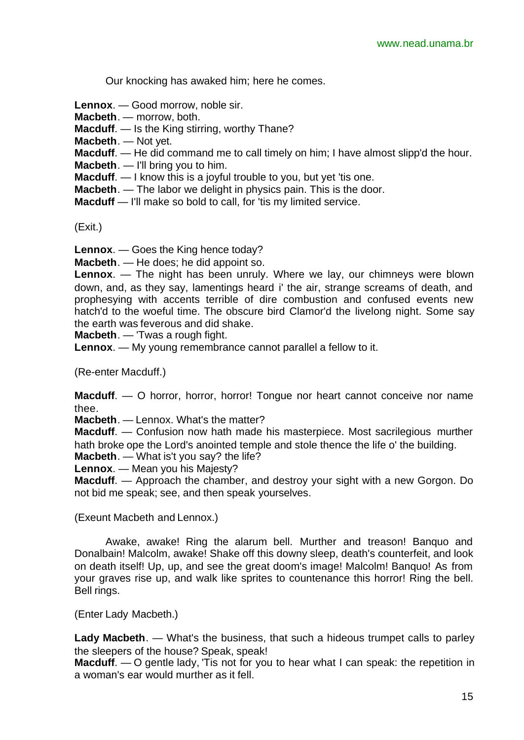Our knocking has awaked him; here he comes.

**Lennox**. — Good morrow, noble sir.

**Macbeth**. — morrow, both.

**Macduff**. — Is the King stirring, worthy Thane?

**Macbeth**. — Not yet.

**Macduff**. — He did command me to call timely on him; I have almost slipp'd the hour.

**Macbeth**. — I'll bring you to him.

**Macduff.** — I know this is a joyful trouble to you, but yet 'tis one.

**Macbeth**. — The labor we delight in physics pain. This is the door.

**Macduff** — I'll make so bold to call, for 'tis my limited service.

(Exit.)

**Lennox**. — Goes the King hence today?

**Macbeth**. — He does; he did appoint so.

**Lennox**. — The night has been unruly. Where we lay, our chimneys were blown down, and, as they say, lamentings heard i' the air, strange screams of death, and prophesying with accents terrible of dire combustion and confused events new hatch'd to the woeful time. The obscure bird Clamor'd the livelong night. Some say the earth was feverous and did shake.

**Macbeth**. — 'Twas a rough fight.

**Lennox**. — My young remembrance cannot parallel a fellow to it.

(Re-enter Macduff.)

**Macduff.** — O horror, horror, horror! Tongue nor heart cannot conceive nor name thee.

**Macbeth**. — Lennox. What's the matter?

**Macduff**. — Confusion now hath made his masterpiece. Most sacrilegious murther hath broke ope the Lord's anointed temple and stole thence the life o' the building. **Macbeth**. — What is't you say? the life?

**Lennox**. — Mean you his Majesty?

**Macduff**. — Approach the chamber, and destroy your sight with a new Gorgon. Do not bid me speak; see, and then speak yourselves.

(Exeunt Macbeth and Lennox.)

Awake, awake! Ring the alarum bell. Murther and treason! Banquo and Donalbain! Malcolm, awake! Shake off this downy sleep, death's counterfeit, and look on death itself! Up, up, and see the great doom's image! Malcolm! Banquo! As from your graves rise up, and walk like sprites to countenance this horror! Ring the bell. Bell rings.

(Enter Lady Macbeth.)

**Lady Macbeth**. — What's the business, that such a hideous trumpet calls to parley the sleepers of the house? Speak, speak!

**Macduff.** — O gentle lady, T is not for you to hear what I can speak: the repetition in a woman's ear would murther as it fell.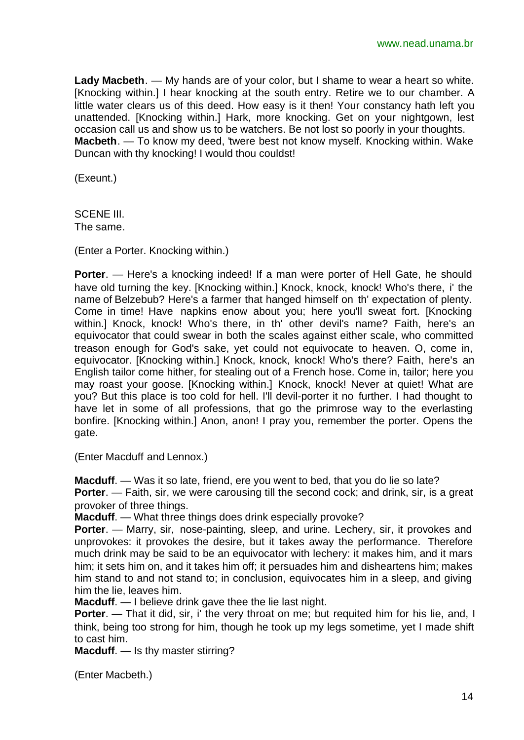**Lady Macbeth**. — My hands are of your color, but I shame to wear a heart so white. [Knocking within.] I hear knocking at the south entry. Retire we to our chamber. A little water clears us of this deed. How easy is it then! Your constancy hath left you unattended. [Knocking within.] Hark, more knocking. Get on your nightgown, lest occasion call us and show us to be watchers. Be not lost so poorly in your thoughts. **Macbeth**. — To know my deed, 'twere best not know myself. Knocking within. Wake Duncan with thy knocking! I would thou couldst!

(Exeunt.)

SCENE III. The same.

(Enter a Porter. Knocking within.)

**Porter.** — Here's a knocking indeed! If a man were porter of Hell Gate, he should have old turning the key. [Knocking within.] Knock, knock, knock! Who's there, i' the name of Belzebub? Here's a farmer that hanged himself on th' expectation of plenty. Come in time! Have napkins enow about you; here you'll sweat fort. [Knocking within.] Knock, knock! Who's there, in th' other devil's name? Faith, here's an equivocator that could swear in both the scales against either scale, who committed treason enough for God's sake, yet could not equivocate to heaven. O, come in, equivocator. [Knocking within.] Knock, knock, knock! Who's there? Faith, here's an English tailor come hither, for stealing out of a French hose. Come in, tailor; here you may roast your goose. [Knocking within.] Knock, knock! Never at quiet! What are you? But this place is too cold for hell. I'll devil-porter it no further. I had thought to have let in some of all professions, that go the primrose way to the everlasting bonfire. [Knocking within.] Anon, anon! I pray you, remember the porter. Opens the gate.

(Enter Macduff and Lennox.)

**Macduff**. — Was it so late, friend, ere you went to bed, that you do lie so late?

**Porter.** — Faith, sir, we were carousing till the second cock; and drink, sir, is a great provoker of three things.

**Macduff.** — What three things does drink especially provoke?

**Porter.** — Marry, sir, nose-painting, sleep, and urine. Lechery, sir, it provokes and unprovokes: it provokes the desire, but it takes away the performance. Therefore much drink may be said to be an equivocator with lechery: it makes him, and it mars him; it sets him on, and it takes him off; it persuades him and disheartens him; makes him stand to and not stand to; in conclusion, equivocates him in a sleep, and giving him the lie, leaves him.

**Macduff.** — I believe drink gave thee the lie last night.

**Porter.** — That it did, sir, i' the very throat on me; but requited him for his lie, and, I think, being too strong for him, though he took up my legs sometime, yet I made shift to cast him.

**Macduff.** — Is thy master stirring?

(Enter Macbeth.)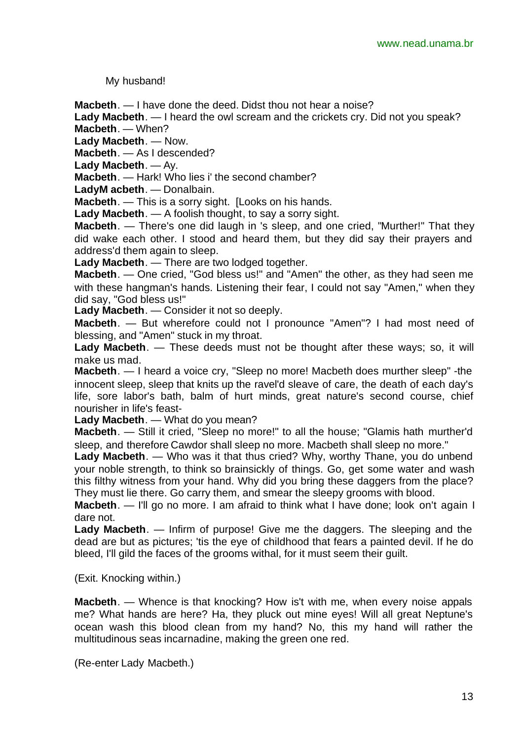My husband!

**Macbeth**. — I have done the deed. Didst thou not hear a noise?

**Lady Macbeth**. — I heard the owl scream and the crickets cry. Did not you speak? **Macbeth**. — When?

**Lady Macbeth**. — Now.

**Macbeth**. — As I descended?

**Lady Macbeth**. — Ay.

**Macbeth**. — Hark! Who lies i' the second chamber?

**LadyM acbeth**. — Donalbain.

**Macbeth**. — This is a sorry sight. [Looks on his hands.

**Lady Macbeth**. — A foolish thought, to say a sorry sight.

**Macbeth**. — There's one did laugh in 's sleep, and one cried, "Murther!" That they did wake each other. I stood and heard them, but they did say their prayers and address'd them again to sleep.

**Lady Macbeth**. — There are two lodged together.

**Macbeth**. — One cried, "God bless us!" and "Amen" the other, as they had seen me with these hangman's hands. Listening their fear, I could not say "Amen," when they did say, "God bless us!"

**Lady Macbeth**. — Consider it not so deeply.

**Macbeth**. — But wherefore could not I pronounce "Amen"? I had most need of blessing, and "Amen" stuck in my throat.

**Lady Macbeth**. — These deeds must not be thought after these ways; so, it will make us mad.

**Macbeth**. — I heard a voice cry, "Sleep no more! Macbeth does murther sleep" -the innocent sleep, sleep that knits up the ravel'd sleave of care, the death of each day's life, sore labor's bath, balm of hurt minds, great nature's second course, chief nourisher in life's feast-

**Lady Macbeth**. — What do you mean?

**Macbeth**. — Still it cried, "Sleep no more!" to all the house; "Glamis hath murther'd sleep, and therefore Cawdor shall sleep no more. Macbeth shall sleep no more."

**Lady Macbeth**. — Who was it that thus cried? Why, worthy Thane, you do unbend your noble strength, to think so brainsickly of things. Go, get some water and wash this filthy witness from your hand. Why did you bring these daggers from the place? They must lie there. Go carry them, and smear the sleepy grooms with blood.

**Macbeth**. — I'll go no more. I am afraid to think what I have done; look on't again I dare not.

**Lady Macbeth**. — Infirm of purpose! Give me the daggers. The sleeping and the dead are but as pictures; 'tis the eye of childhood that fears a painted devil. If he do bleed, I'll gild the faces of the grooms withal, for it must seem their guilt.

(Exit. Knocking within.)

**Macbeth**. — Whence is that knocking? How is't with me, when every noise appals me? What hands are here? Ha, they pluck out mine eyes! Will all great Neptune's ocean wash this blood clean from my hand? No, this my hand will rather the multitudinous seas incarnadine, making the green one red.

(Re-enter Lady Macbeth.)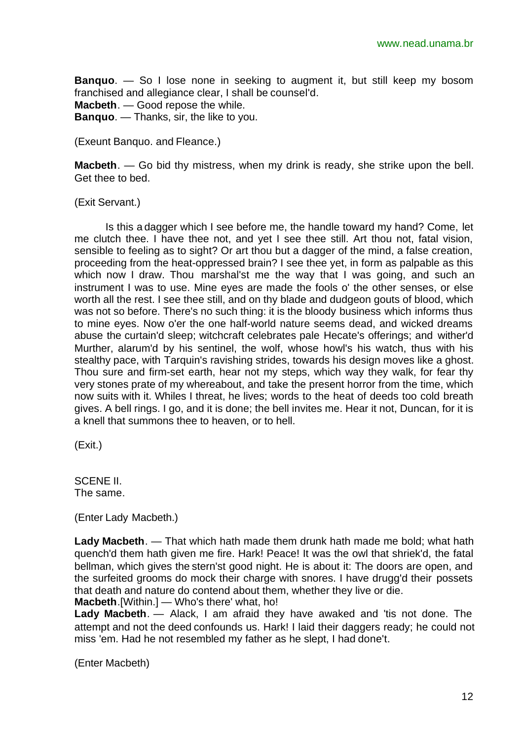**Banquo**. — So I lose none in seeking to augment it, but still keep my bosom franchised and allegiance clear, I shall be counsel'd. **Macbeth**. — Good repose the while. **Banquo**. — Thanks, sir, the like to you.

(Exeunt Banquo. and Fleance.)

**Macbeth**. — Go bid thy mistress, when my drink is ready, she strike upon the bell. Get thee to bed.

(Exit Servant.)

Is this a dagger which I see before me, the handle toward my hand? Come, let me clutch thee. I have thee not, and yet I see thee still. Art thou not, fatal vision, sensible to feeling as to sight? Or art thou but a dagger of the mind, a false creation, proceeding from the heat-oppressed brain? I see thee yet, in form as palpable as this which now I draw. Thou marshal'st me the way that I was going, and such an instrument I was to use. Mine eyes are made the fools o' the other senses, or else worth all the rest. I see thee still, and on thy blade and dudgeon gouts of blood, which was not so before. There's no such thing: it is the bloody business which informs thus to mine eyes. Now o'er the one half-world nature seems dead, and wicked dreams abuse the curtain'd sleep; witchcraft celebrates pale Hecate's offerings; and wither'd Murther, alarum'd by his sentinel, the wolf, whose howl's his watch, thus with his stealthy pace, with Tarquin's ravishing strides, towards his design moves like a ghost. Thou sure and firm-set earth, hear not my steps, which way they walk, for fear thy very stones prate of my whereabout, and take the present horror from the time, which now suits with it. Whiles I threat, he lives; words to the heat of deeds too cold breath gives. A bell rings. I go, and it is done; the bell invites me. Hear it not, Duncan, for it is a knell that summons thee to heaven, or to hell.

(Exit.)

SCENE II. The same.

(Enter Lady Macbeth.)

**Lady Macbeth**. — That which hath made them drunk hath made me bold; what hath quench'd them hath given me fire. Hark! Peace! It was the owl that shriek'd, the fatal bellman, which gives the stern'st good night. He is about it: The doors are open, and the surfeited grooms do mock their charge with snores. I have drugg'd their possets that death and nature do contend about them, whether they live or die. **Macbeth**.[Within.] — Who's there' what, ho!

**Lady Macbeth**. — Alack, I am afraid they have awaked and 'tis not done. The attempt and not the deed confounds us. Hark! I laid their daggers ready; he could not miss 'em. Had he not resembled my father as he slept, I had done't.

(Enter Macbeth)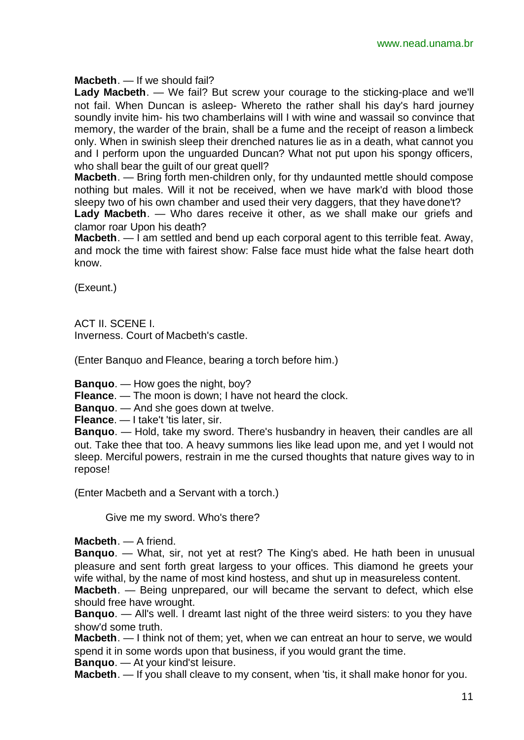### **Macbeth**. — If we should fail?

**Lady Macbeth**. — We fail? But screw your courage to the sticking-place and we'll not fail. When Duncan is asleep- Whereto the rather shall his day's hard journey soundly invite him- his two chamberlains will I with wine and wassail so convince that memory, the warder of the brain, shall be a fume and the receipt of reason a limbeck only. When in swinish sleep their drenched natures lie as in a death, what cannot you and I perform upon the unguarded Duncan? What not put upon his spongy officers, who shall bear the guilt of our great quell?

**Macbeth**. — Bring forth men-children only, for thy undaunted mettle should compose nothing but males. Will it not be received, when we have mark'd with blood those sleepy two of his own chamber and used their very daggers, that they have done't?

**Lady Macbeth**. — Who dares receive it other, as we shall make our griefs and clamor roar Upon his death?

**Macbeth**. — I am settled and bend up each corporal agent to this terrible feat. Away, and mock the time with fairest show: False face must hide what the false heart doth know.

(Exeunt.)

ACT II. SCENE I. Inverness. Court of Macbeth's castle.

(Enter Banquo and Fleance, bearing a torch before him.)

**Banquo**. — How goes the night, boy?

**Fleance**. — The moon is down; I have not heard the clock.

**Banquo**. — And she goes down at twelve.

**Fleance.** — I take't 'tis later, sir.

**Banquo**. — Hold, take my sword. There's husbandry in heaven, their candles are all out. Take thee that too. A heavy summons lies like lead upon me, and yet I would not sleep. Merciful powers, restrain in me the cursed thoughts that nature gives way to in repose!

(Enter Macbeth and a Servant with a torch.)

Give me my sword. Who's there?

**Macbeth**. — A friend.

**Banquo**. — What, sir, not yet at rest? The King's abed. He hath been in unusual pleasure and sent forth great largess to your offices. This diamond he greets your wife withal, by the name of most kind hostess, and shut up in measureless content.

**Macbeth**. — Being unprepared, our will became the servant to defect, which else should free have wrought.

**Banquo**. — All's well. I dreamt last night of the three weird sisters: to you they have show'd some truth.

**Macbeth**. — I think not of them; yet, when we can entreat an hour to serve, we would spend it in some words upon that business, if you would grant the time.

**Banquo**. — At your kind'st leisure.

**Macbeth**. — If you shall cleave to my consent, when 'tis, it shall make honor for you.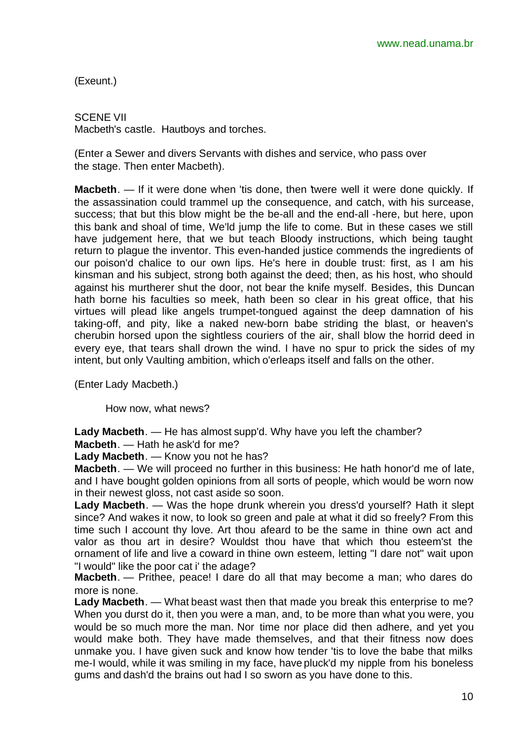(Exeunt.)

SCENE VII Macbeth's castle. Hautboys and torches.

(Enter a Sewer and divers Servants with dishes and service, who pass over the stage. Then enter Macbeth).

**Macbeth**. — If it were done when 'tis done, then 'twere well it were done quickly. If the assassination could trammel up the consequence, and catch, with his surcease, success; that but this blow might be the be-all and the end-all -here, but here, upon this bank and shoal of time, We'ld jump the life to come. But in these cases we still have judgement here, that we but teach Bloody instructions, which being taught return to plague the inventor. This even-handed justice commends the ingredients of our poison'd chalice to our own lips. He's here in double trust: first, as I am his kinsman and his subject, strong both against the deed; then, as his host, who should against his murtherer shut the door, not bear the knife myself. Besides, this Duncan hath borne his faculties so meek, hath been so clear in his great office, that his virtues will plead like angels trumpet-tongued against the deep damnation of his taking-off, and pity, like a naked new-born babe striding the blast, or heaven's cherubin horsed upon the sightless couriers of the air, shall blow the horrid deed in every eye, that tears shall drown the wind. I have no spur to prick the sides of my intent, but only Vaulting ambition, which o'erleaps itself and falls on the other.

(Enter Lady Macbeth.)

How now, what news?

**Lady Macbeth**. — He has almost supp'd. Why have you left the chamber?

**Macbeth**. — Hath he ask'd for me?

**Lady Macbeth**. — Know you not he has?

**Macbeth**. — We will proceed no further in this business: He hath honor'd me of late, and I have bought golden opinions from all sorts of people, which would be worn now in their newest gloss, not cast aside so soon.

**Lady Macbeth**. — Was the hope drunk wherein you dress'd yourself? Hath it slept since? And wakes it now, to look so green and pale at what it did so freely? From this time such I account thy love. Art thou afeard to be the same in thine own act and valor as thou art in desire? Wouldst thou have that which thou esteem'st the ornament of life and live a coward in thine own esteem, letting "I dare not" wait upon "I would" like the poor cat i' the adage?

**Macbeth**. — Prithee, peace! I dare do all that may become a man; who dares do more is none.

**Lady Macbeth**. — What beast wast then that made you break this enterprise to me? When you durst do it, then you were a man, and, to be more than what you were, you would be so much more the man. Nor time nor place did then adhere, and yet you would make both. They have made themselves, and that their fitness now does unmake you. I have given suck and know how tender 'tis to love the babe that milks me-I would, while it was smiling in my face, have pluck'd my nipple from his boneless gums and dash'd the brains out had I so sworn as you have done to this.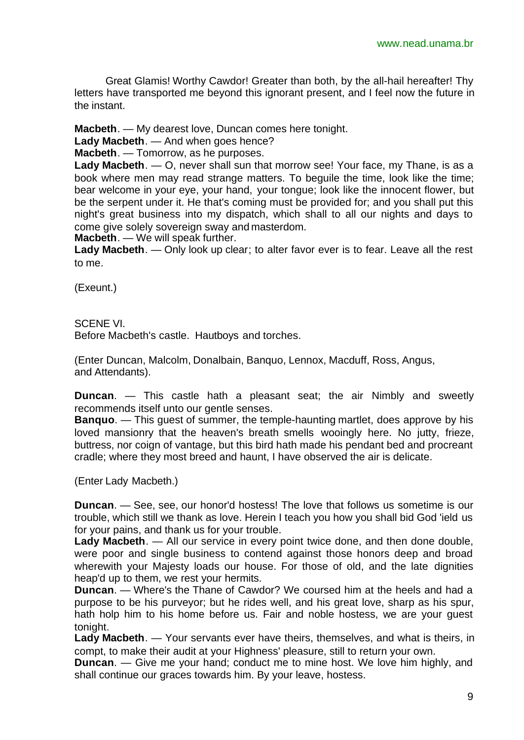Great Glamis! Worthy Cawdor! Greater than both, by the all-hail hereafter! Thy letters have transported me beyond this ignorant present, and I feel now the future in the instant.

**Macbeth**. — My dearest love, Duncan comes here tonight.

**Lady Macbeth**. — And when goes hence?

**Macbeth**. — Tomorrow, as he purposes.

**Lady Macbeth**. — O, never shall sun that morrow see! Your face, my Thane, is as a book where men may read strange matters. To beguile the time, look like the time; bear welcome in your eye, your hand, your tongue; look like the innocent flower, but be the serpent under it. He that's coming must be provided for; and you shall put this night's great business into my dispatch, which shall to all our nights and days to come give solely sovereign sway and masterdom.

**Macbeth**. — We will speak further.

**Lady Macbeth**. — Only look up clear; to alter favor ever is to fear. Leave all the rest to me.

(Exeunt.)

SCENE VI.

Before Macbeth's castle. Hautboys and torches.

(Enter Duncan, Malcolm, Donalbain, Banquo, Lennox, Macduff, Ross, Angus, and Attendants).

**Duncan**. — This castle hath a pleasant seat; the air Nimbly and sweetly recommends itself unto our gentle senses.

**Banquo**. — This guest of summer, the temple-haunting martlet, does approve by his loved mansionry that the heaven's breath smells wooingly here. No jutty, frieze, buttress, nor coign of vantage, but this bird hath made his pendant bed and procreant cradle; where they most breed and haunt, I have observed the air is delicate.

(Enter Lady Macbeth.)

**Duncan**. — See, see, our honor'd hostess! The love that follows us sometime is our trouble, which still we thank as love. Herein I teach you how you shall bid God 'ield us for your pains, and thank us for your trouble.

**Lady Macbeth**. — All our service in every point twice done, and then done double, were poor and single business to contend against those honors deep and broad wherewith your Majesty loads our house. For those of old, and the late dignities heap'd up to them, we rest your hermits.

**Duncan**. — Where's the Thane of Cawdor? We coursed him at the heels and had a purpose to be his purveyor; but he rides well, and his great love, sharp as his spur, hath holp him to his home before us. Fair and noble hostess, we are your guest tonight.

**Lady Macbeth**. — Your servants ever have theirs, themselves, and what is theirs, in compt, to make their audit at your Highness' pleasure, still to return your own.

**Duncan**. — Give me your hand; conduct me to mine host. We love him highly, and shall continue our graces towards him. By your leave, hostess.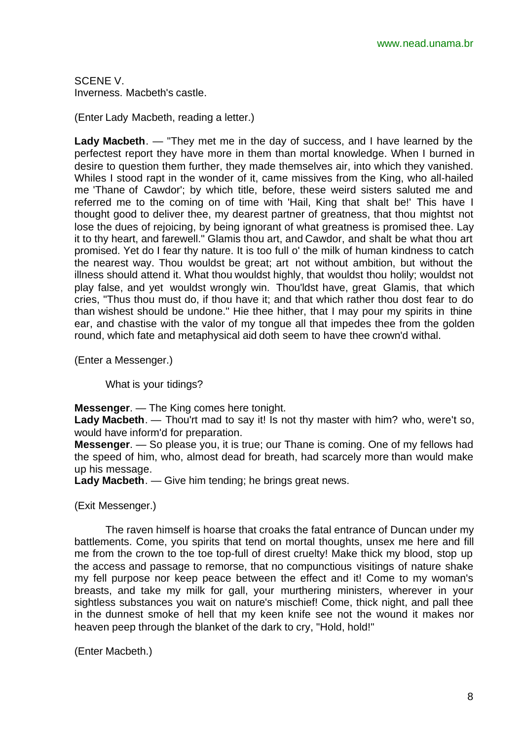SCENE V. Inverness. Macbeth's castle.

(Enter Lady Macbeth, reading a letter.)

**Lady Macbeth**. — "They met me in the day of success, and I have learned by the perfectest report they have more in them than mortal knowledge. When I burned in desire to question them further, they made themselves air, into which they vanished. Whiles I stood rapt in the wonder of it, came missives from the King, who all-hailed me 'Thane of Cawdor'; by which title, before, these weird sisters saluted me and referred me to the coming on of time with 'Hail, King that shalt be!' This have I thought good to deliver thee, my dearest partner of greatness, that thou mightst not lose the dues of rejoicing, by being ignorant of what greatness is promised thee. Lay it to thy heart, and farewell." Glamis thou art, and Cawdor, and shalt be what thou art promised. Yet do I fear thy nature. It is too full o' the milk of human kindness to catch the nearest way. Thou wouldst be great; art not without ambition, but without the illness should attend it. What thou wouldst highly, that wouldst thou holily; wouldst not play false, and yet wouldst wrongly win. Thou'ldst have, great Glamis, that which cries, "Thus thou must do, if thou have it; and that which rather thou dost fear to do than wishest should be undone." Hie thee hither, that I may pour my spirits in thine ear, and chastise with the valor of my tongue all that impedes thee from the golden round, which fate and metaphysical aid doth seem to have thee crown'd withal.

(Enter a Messenger.)

What is your tidings?

**Messenger**. — The King comes here tonight.

**Lady Macbeth**. — Thou'rt mad to say it! Is not thy master with him? who, were't so, would have inform'd for preparation.

**Messenger**. — So please you, it is true; our Thane is coming. One of my fellows had the speed of him, who, almost dead for breath, had scarcely more than would make up his message.

**Lady Macbeth**. — Give him tending; he brings great news.

(Exit Messenger.)

The raven himself is hoarse that croaks the fatal entrance of Duncan under my battlements. Come, you spirits that tend on mortal thoughts, unsex me here and fill me from the crown to the toe top-full of direst cruelty! Make thick my blood, stop up the access and passage to remorse, that no compunctious visitings of nature shake my fell purpose nor keep peace between the effect and it! Come to my woman's breasts, and take my milk for gall, your murthering ministers, wherever in your sightless substances you wait on nature's mischief! Come, thick night, and pall thee in the dunnest smoke of hell that my keen knife see not the wound it makes nor heaven peep through the blanket of the dark to cry, "Hold, hold!"

(Enter Macbeth.)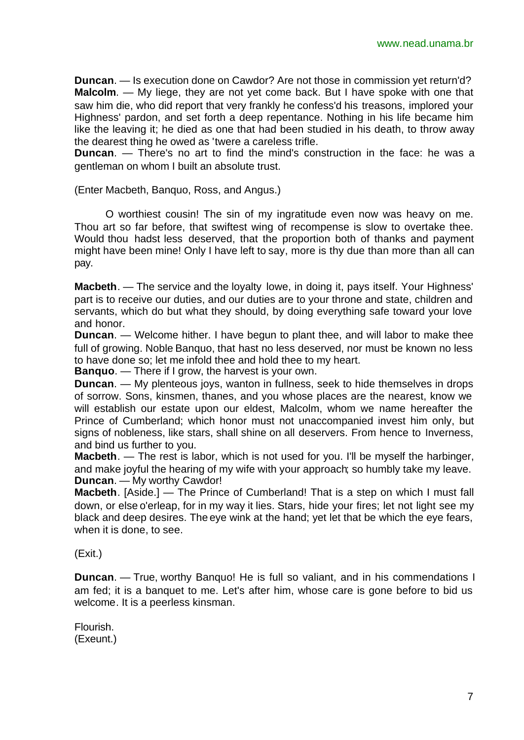**Duncan**. — Is execution done on Cawdor? Are not those in commission yet return'd? **Malcolm**. — My liege, they are not yet come back. But I have spoke with one that saw him die, who did report that very frankly he confess'd his treasons, implored your Highness' pardon, and set forth a deep repentance. Nothing in his life became him like the leaving it; he died as one that had been studied in his death, to throw away the dearest thing he owed as 'twere a careless trifle.

**Duncan**. — There's no art to find the mind's construction in the face: he was a gentleman on whom I built an absolute trust.

(Enter Macbeth, Banquo, Ross, and Angus.)

O worthiest cousin! The sin of my ingratitude even now was heavy on me. Thou art so far before, that swiftest wing of recompense is slow to overtake thee. Would thou hadst less deserved, that the proportion both of thanks and payment might have been mine! Only I have left to say, more is thy due than more than all can pay.

**Macbeth**. — The service and the loyalty lowe, in doing it, pays itself. Your Highness' part is to receive our duties, and our duties are to your throne and state, children and servants, which do but what they should, by doing everything safe toward your love and honor.

**Duncan**. — Welcome hither. I have begun to plant thee, and will labor to make thee full of growing. Noble Banquo, that hast no less deserved, nor must be known no less to have done so; let me infold thee and hold thee to my heart.

**Banquo**. — There if I grow, the harvest is your own.

**Duncan**. — My plenteous joys, wanton in fullness, seek to hide themselves in drops of sorrow. Sons, kinsmen, thanes, and you whose places are the nearest, know we will establish our estate upon our eldest, Malcolm, whom we name hereafter the Prince of Cumberland; which honor must not unaccompanied invest him only, but signs of nobleness, like stars, shall shine on all deservers. From hence to Inverness, and bind us further to you.

**Macbeth**. — The rest is labor, which is not used for you. I'll be myself the harbinger, and make joyful the hearing of my wife with your approach; so humbly take my leave. **Duncan**. — My worthy Cawdor!

**Macbeth**. [Aside.] — The Prince of Cumberland! That is a step on which I must fall down, or else o'erleap, for in my way it lies. Stars, hide your fires; let not light see my black and deep desires. The eye wink at the hand; yet let that be which the eye fears, when it is done, to see.

(Exit.)

**Duncan**. — True, worthy Banquo! He is full so valiant, and in his commendations I am fed; it is a banquet to me. Let's after him, whose care is gone before to bid us welcome. It is a peerless kinsman.

Flourish. (Exeunt.)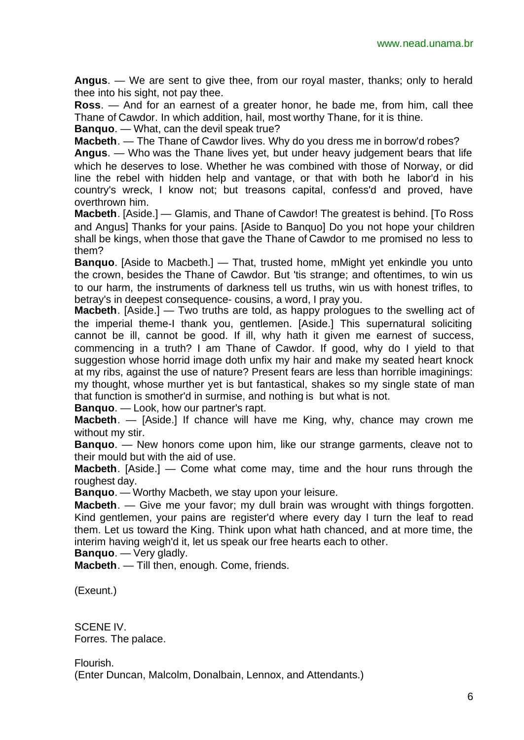**Angus**. — We are sent to give thee, from our royal master, thanks; only to herald thee into his sight, not pay thee.

**Ross**. — And for an earnest of a greater honor, he bade me, from him, call thee Thane of Cawdor. In which addition, hail, most worthy Thane, for it is thine.

**Banquo**. — What, can the devil speak true?

**Macbeth**. — The Thane of Cawdor lives. Why do you dress me in borrow'd robes?

**Angus**. — Who was the Thane lives yet, but under heavy judgement bears that life which he deserves to lose. Whether he was combined with those of Norway, or did line the rebel with hidden help and vantage, or that with both he labor'd in his country's wreck, I know not; but treasons capital, confess'd and proved, have overthrown him.

**Macbeth**. [Aside.] — Glamis, and Thane of Cawdor! The greatest is behind. [To Ross and Angus] Thanks for your pains. [Aside to Banquo] Do you not hope your children shall be kings, when those that gave the Thane of Cawdor to me promised no less to them?

**Banquo**. [Aside to Macbeth.] — That, trusted home, mMight yet enkindle you unto the crown, besides the Thane of Cawdor. But 'tis strange; and oftentimes, to win us to our harm, the instruments of darkness tell us truths, win us with honest trifles, to betray's in deepest consequence- cousins, a word, I pray you.

**Macbeth**. [Aside.] — Two truths are told, as happy prologues to the swelling act of the imperial theme-I thank you, gentlemen. [Aside.] This supernatural soliciting cannot be ill, cannot be good. If ill, why hath it given me earnest of success, commencing in a truth? I am Thane of Cawdor. If good, why do I yield to that suggestion whose horrid image doth unfix my hair and make my seated heart knock at my ribs, against the use of nature? Present fears are less than horrible imaginings: my thought, whose murther yet is but fantastical, shakes so my single state of man that function is smother'd in surmise, and nothing is but what is not.

**Banquo**. — Look, how our partner's rapt.

**Macbeth**. — [Aside.] If chance will have me King, why, chance may crown me without my stir.

**Banquo**. — New honors come upon him, like our strange garments, cleave not to their mould but with the aid of use.

**Macbeth**. [Aside.] — Come what come may, time and the hour runs through the roughest day.

**Banquo**. — Worthy Macbeth, we stay upon your leisure.

**Macbeth**. — Give me your favor; my dull brain was wrought with things forgotten. Kind gentlemen, your pains are register'd where every day I turn the leaf to read them. Let us toward the King. Think upon what hath chanced, and at more time, the interim having weigh'd it, let us speak our free hearts each to other.

**Banquo**. — Very gladly.

**Macbeth**. — Till then, enough. Come, friends.

(Exeunt.)

SCENE IV. Forres. The palace.

Flourish. (Enter Duncan, Malcolm, Donalbain, Lennox, and Attendants.)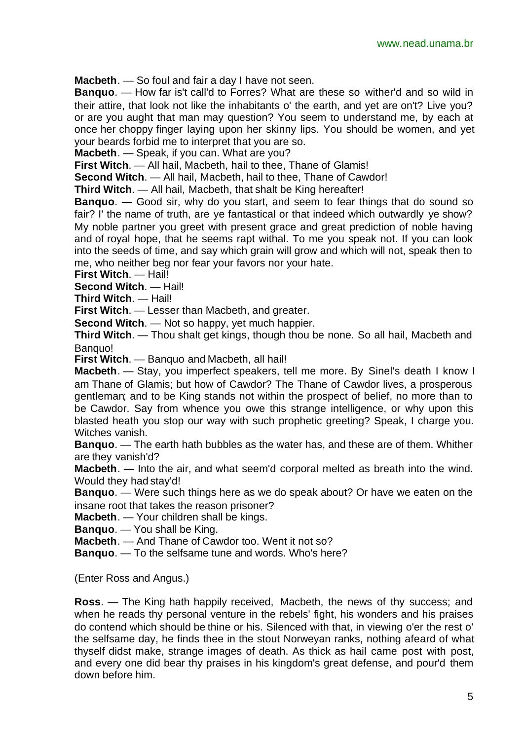**Macbeth**. — So foul and fair a day I have not seen.

**Banquo**. — How far is't call'd to Forres? What are these so wither'd and so wild in their attire, that look not like the inhabitants o' the earth, and yet are on't? Live you? or are you aught that man may question? You seem to understand me, by each at once her choppy finger laying upon her skinny lips. You should be women, and yet your beards forbid me to interpret that you are so.

**Macbeth**. — Speak, if you can. What are you?

**First Witch**. — All hail, Macbeth, hail to thee, Thane of Glamis!

**Second Witch**. — All hail, Macbeth, hail to thee, Thane of Cawdor!

**Third Witch**. — All hail, Macbeth, that shalt be King hereafter!

**Banquo**. — Good sir, why do you start, and seem to fear things that do sound so fair? I' the name of truth, are ye fantastical or that indeed which outwardly ye show? My noble partner you greet with present grace and great prediction of noble having and of royal hope, that he seems rapt withal. To me you speak not. If you can look into the seeds of time, and say which grain will grow and which will not, speak then to me, who neither beg nor fear your favors nor your hate.

**First Witch**. — Hail!

**Second Witch**. — Hail!

**Third Witch**. — Hail!

**First Witch**. — Lesser than Macbeth, and greater.

**Second Witch**. — Not so happy, yet much happier.

**Third Witch**. — Thou shalt get kings, though thou be none. So all hail, Macbeth and Banquo!

**First Witch**. — Banquo and Macbeth, all hail!

**Macbeth**. — Stay, you imperfect speakers, tell me more. By Sinel's death I know I am Thane of Glamis; but how of Cawdor? The Thane of Cawdor lives, a prosperous gentleman; and to be King stands not within the prospect of belief, no more than to be Cawdor. Say from whence you owe this strange intelligence, or why upon this blasted heath you stop our way with such prophetic greeting? Speak, I charge you. Witches vanish.

**Banquo**. — The earth hath bubbles as the water has, and these are of them. Whither are they vanish'd?

**Macbeth**. — Into the air, and what seem'd corporal melted as breath into the wind. Would they had stay'd!

**Banquo**. — Were such things here as we do speak about? Or have we eaten on the insane root that takes the reason prisoner?

**Macbeth**. — Your children shall be kings.

**Banquo**. — You shall be King.

**Macbeth**. — And Thane of Cawdor too. Went it not so?

**Banquo**. — To the selfsame tune and words. Who's here?

(Enter Ross and Angus.)

**Ross**. — The King hath happily received, Macbeth, the news of thy success; and when he reads thy personal venture in the rebels' fight, his wonders and his praises do contend which should be thine or his. Silenced with that, in viewing o'er the rest o' the selfsame day, he finds thee in the stout Norweyan ranks, nothing afeard of what thyself didst make, strange images of death. As thick as hail came post with post, and every one did bear thy praises in his kingdom's great defense, and pour'd them down before him.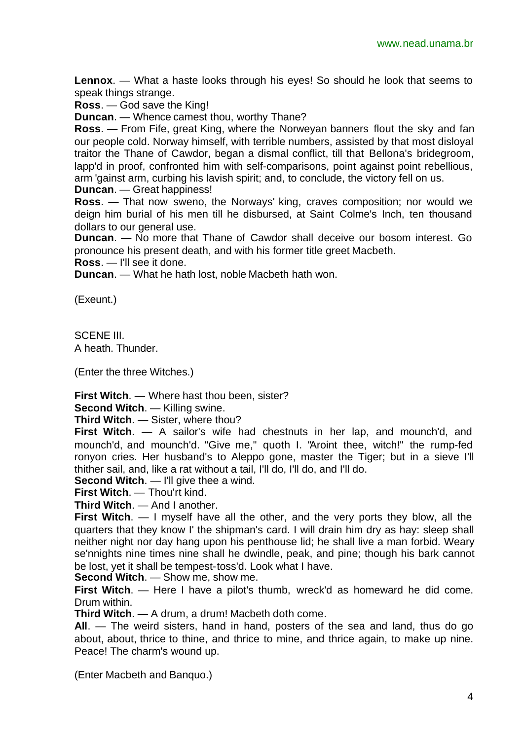**Lennox**. — What a haste looks through his eyes! So should he look that seems to speak things strange.

**Ross**. — God save the King!

**Duncan**. — Whence camest thou, worthy Thane?

**Ross**. — From Fife, great King, where the Norweyan banners flout the sky and fan our people cold. Norway himself, with terrible numbers, assisted by that most disloyal traitor the Thane of Cawdor, began a dismal conflict, till that Bellona's bridegroom, lapp'd in proof, confronted him with self-comparisons, point against point rebellious, arm 'gainst arm, curbing his lavish spirit; and, to conclude, the victory fell on us.

**Duncan**. — Great happiness!

**Ross**. — That now sweno, the Norways' king, craves composition; nor would we deign him burial of his men till he disbursed, at Saint Colme's Inch, ten thousand dollars to our general use.

**Duncan**. — No more that Thane of Cawdor shall deceive our bosom interest. Go pronounce his present death, and with his former title greet Macbeth.

**Ross**. — I'll see it done.

**Duncan**. — What he hath lost, noble Macbeth hath won.

(Exeunt.)

SCENE III. A heath. Thunder.

(Enter the three Witches.)

**First Witch**. — Where hast thou been, sister?

**Second Witch**. — Killing swine.

**Third Witch**. — Sister, where thou?

**First Witch**. — A sailor's wife had chestnuts in her lap, and mounch'd, and mounch'd, and mounch'd. "Give me," quoth I. "Aroint thee, witch!" the rump-fed ronyon cries. Her husband's to Aleppo gone, master the Tiger; but in a sieve I'll thither sail, and, like a rat without a tail, I'll do, I'll do, and I'll do.

**Second Witch.** — I'll give thee a wind.

**First Witch**. — Thou'rt kind.

**Third Witch**. — And I another.

**First Witch**. — I myself have all the other, and the very ports they blow, all the quarters that they know I' the shipman's card. I will drain him dry as hay: sleep shall neither night nor day hang upon his penthouse lid; he shall live a man forbid. Weary se'nnights nine times nine shall he dwindle, peak, and pine; though his bark cannot be lost, yet it shall be tempest-toss'd. Look what I have.

**Second Witch**. — Show me, show me.

**First Witch**. — Here I have a pilot's thumb, wreck'd as homeward he did come. Drum within.

**Third Witch**. — A drum, a drum! Macbeth doth come.

**All**. — The weird sisters, hand in hand, posters of the sea and land, thus do go about, about, thrice to thine, and thrice to mine, and thrice again, to make up nine. Peace! The charm's wound up.

(Enter Macbeth and Banquo.)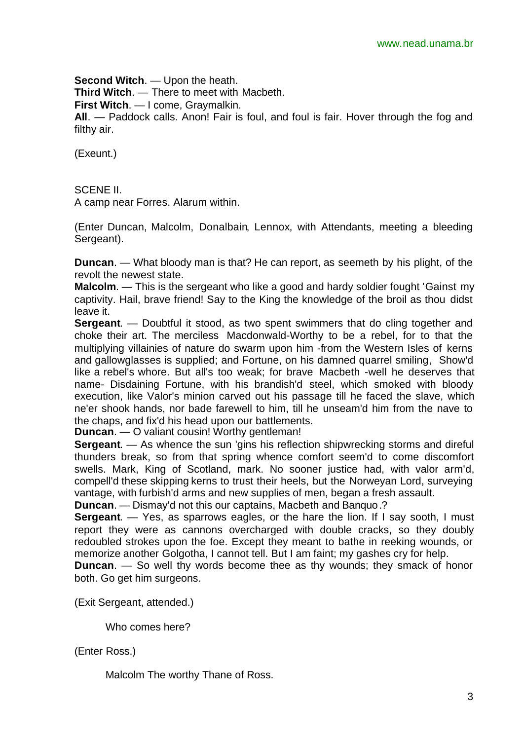**Second Witch**. — Upon the heath. **Third Witch**. — There to meet with Macbeth. **First Witch**. — I come, Graymalkin. **All**. — Paddock calls. Anon! Fair is foul, and foul is fair. Hover through the fog and filthy air.

(Exeunt.)

SCENE II.

A camp near Forres. Alarum within.

(Enter Duncan, Malcolm, Donalbain, Lennox, with Attendants, meeting a bleeding Sergeant).

**Duncan**. — What bloody man is that? He can report, as seemeth by his plight, of the revolt the newest state.

**Malcolm**. — This is the sergeant who like a good and hardy soldier fought 'Gainst my captivity. Hail, brave friend! Say to the King the knowledge of the broil as thou didst leave it.

**Sergeant**. — Doubtful it stood, as two spent swimmers that do cling together and choke their art. The merciless Macdonwald-Worthy to be a rebel, for to that the multiplying villainies of nature do swarm upon him -from the Western Isles of kerns and gallowglasses is supplied; and Fortune, on his damned quarrel smiling, Show'd like a rebel's whore. But all's too weak; for brave Macbeth -well he deserves that name- Disdaining Fortune, with his brandish'd steel, which smoked with bloody execution, like Valor's minion carved out his passage till he faced the slave, which ne'er shook hands, nor bade farewell to him, till he unseam'd him from the nave to the chaps, and fix'd his head upon our battlements.

**Duncan**. — O valiant cousin! Worthy gentleman!

**Sergeant**. — As whence the sun 'gins his reflection shipwrecking storms and direful thunders break, so from that spring whence comfort seem'd to come discomfort swells. Mark, King of Scotland, mark. No sooner justice had, with valor arm'd, compell'd these skipping kerns to trust their heels, but the Norweyan Lord, surveying vantage, with furbish'd arms and new supplies of men, began a fresh assault. **Duncan**. — Dismay'd not this our captains, Macbeth and Banquo.?

**Sergeant**. — Yes, as sparrows eagles, or the hare the lion. If I say sooth, I must report they were as cannons overcharged with double cracks, so they doubly redoubled strokes upon the foe. Except they meant to bathe in reeking wounds, or memorize another Golgotha, I cannot tell. But I am faint; my gashes cry for help.

**Duncan.** — So well thy words become thee as thy wounds; they smack of honor both. Go get him surgeons.

(Exit Sergeant, attended.)

Who comes here?

(Enter Ross.)

Malcolm The worthy Thane of Ross.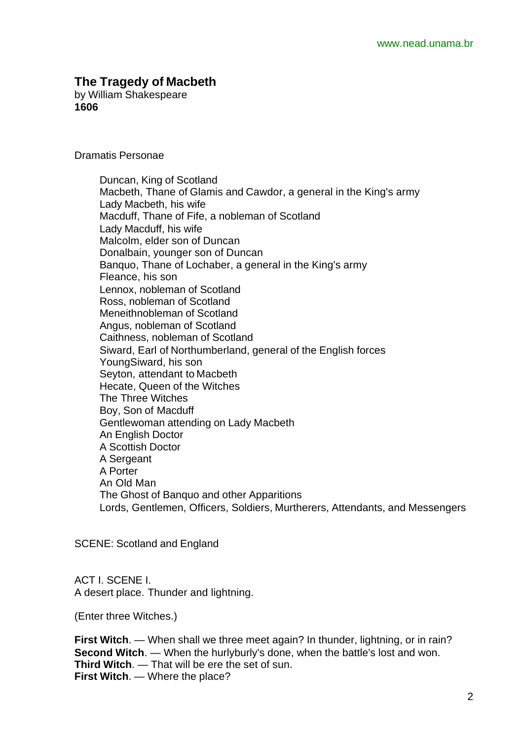## **The Tragedy of Macbeth**

by William Shakespeare **1606**

Dramatis Personae

Duncan, King of Scotland Macbeth, Thane of Glamis and Cawdor, a general in the King's army Lady Macbeth, his wife Macduff, Thane of Fife, a nobleman of Scotland Lady Macduff, his wife Malcolm, elder son of Duncan Donalbain, younger son of Duncan Banquo, Thane of Lochaber, a general in the King's army Fleance, his son Lennox, nobleman of Scotland Ross, nobleman of Scotland Meneithnobleman of Scotland Angus, nobleman of Scotland Caithness, nobleman of Scotland Siward, Earl of Northumberland, general of the English forces YoungSiward, his son Seyton, attendant to Macbeth Hecate, Queen of the Witches The Three Witches Boy, Son of Macduff Gentlewoman attending on Lady Macbeth An English Doctor A Scottish Doctor A Sergeant A Porter An Old Man The Ghost of Banquo and other Apparitions Lords, Gentlemen, Officers, Soldiers, Murtherers, Attendants, and Messengers

SCENE: Scotland and England

ACT I. SCENE I. A desert place. Thunder and lightning.

(Enter three Witches.)

**First Witch**. — When shall we three meet again? In thunder, lightning, or in rain? **Second Witch.** — When the hurlyburly's done, when the battle's lost and won. **Third Witch**. — That will be ere the set of sun. **First Witch**. — Where the place?